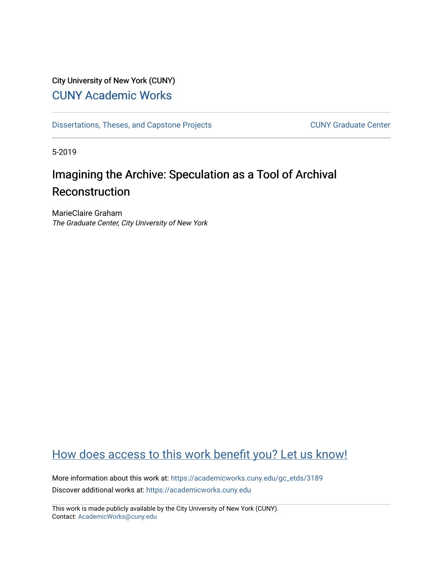## City University of New York (CUNY) [CUNY Academic Works](https://academicworks.cuny.edu/)

[Dissertations, Theses, and Capstone Projects](https://academicworks.cuny.edu/gc_etds) CUNY Graduate Center

5-2019

# Imagining the Archive: Speculation as a Tool of Archival Reconstruction

MarieClaire Graham The Graduate Center, City University of New York

## [How does access to this work benefit you? Let us know!](http://ols.cuny.edu/academicworks/?ref=https://academicworks.cuny.edu/gc_etds/3189)

More information about this work at: [https://academicworks.cuny.edu/gc\\_etds/3189](https://academicworks.cuny.edu/gc_etds/3189) Discover additional works at: [https://academicworks.cuny.edu](https://academicworks.cuny.edu/?)

This work is made publicly available by the City University of New York (CUNY). Contact: [AcademicWorks@cuny.edu](mailto:AcademicWorks@cuny.edu)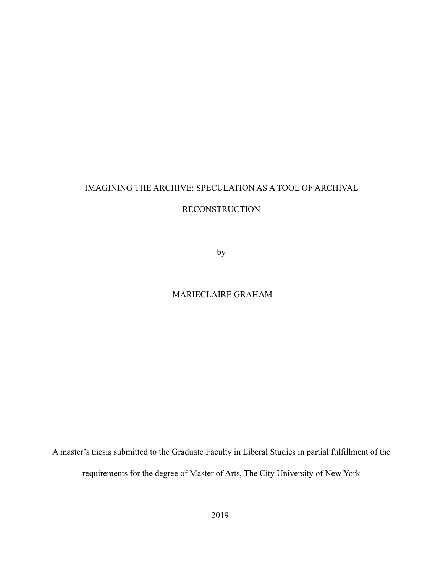### IMAGINING THE ARCHIVE: SPECULATION AS A TOOL OF ARCHIVAL

#### RECONSTRUCTION

by

### MARIECLAIRE GRAHAM

A master's thesis submitted to the Graduate Faculty in Liberal Studies in partial fulfillment of the requirements for the degree of Master of Arts, The City University of New York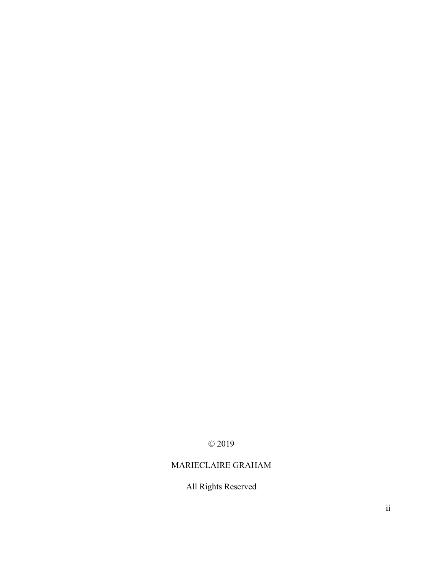## © 2019

## MARIECLAIRE GRAHAM

## All Rights Reserved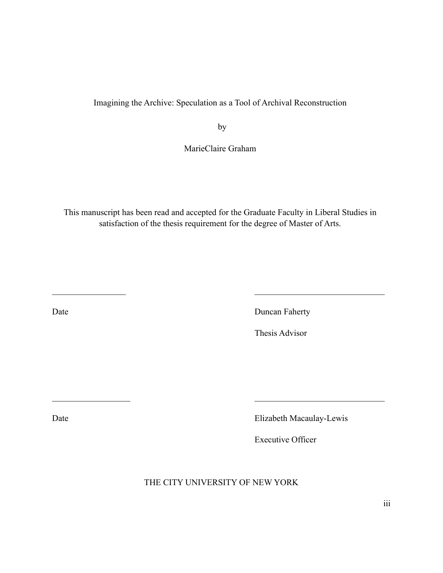### Imagining the Archive: Speculation as a Tool of Archival Reconstruction

**by** 

MarieClaire Graham

This manuscript has been read and accepted for the Graduate Faculty in Liberal Studies in satisfaction of the thesis requirement for the degree of Master of Arts.

 $\mathcal{L}_\text{max}$  , and the contract of the contract of the contract of the contract of the contract of the contract of

Date Duncan Faherty

Thesis Advisor

Date Elizabeth Macaulay-Lewis

Executive Officer

THE CITY UNIVERSITY OF NEW YORK

 $\mathcal{L}_\text{max}$  and  $\mathcal{L}_\text{max}$  and  $\mathcal{L}_\text{max}$  and  $\mathcal{L}_\text{max}$  and  $\mathcal{L}_\text{max}$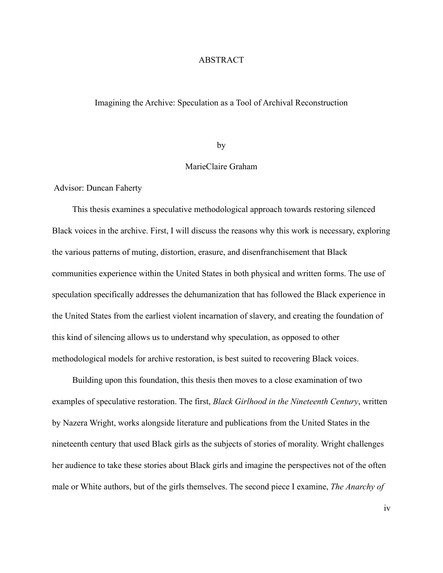#### ABSTRACT

#### Imagining the Archive: Speculation as a Tool of Archival Reconstruction

#### by

#### MarieClaire Graham

Advisor: Duncan Faherty

 This thesis examines a speculative methodological approach towards restoring silenced Black voices in the archive. First, I will discuss the reasons why this work is necessary, exploring the various patterns of muting, distortion, erasure, and disenfranchisement that Black communities experience within the United States in both physical and written forms. The use of speculation specifically addresses the dehumanization that has followed the Black experience in the United States from the earliest violent incarnation of slavery, and creating the foundation of this kind of silencing allows us to understand why speculation, as opposed to other methodological models for archive restoration, is best suited to recovering Black voices.

 Building upon this foundation, this thesis then moves to a close examination of two examples of speculative restoration. The first, *Black Girlhood in the Nineteenth Century*, written by Nazera Wright, works alongside literature and publications from the United States in the nineteenth century that used Black girls as the subjects of stories of morality. Wright challenges her audience to take these stories about Black girls and imagine the perspectives not of the often male or White authors, but of the girls themselves. The second piece I examine, *The Anarchy of* 

iv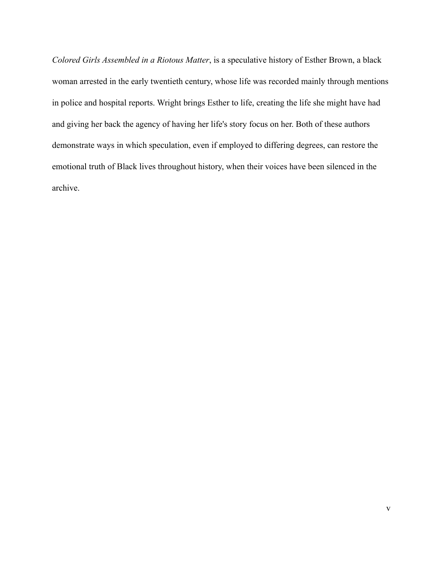*Colored Girls Assembled in a Riotous Matter*, is a speculative history of Esther Brown, a black woman arrested in the early twentieth century, whose life was recorded mainly through mentions in police and hospital reports. Wright brings Esther to life, creating the life she might have had and giving her back the agency of having her life's story focus on her. Both of these authors demonstrate ways in which speculation, even if employed to differing degrees, can restore the emotional truth of Black lives throughout history, when their voices have been silenced in the archive.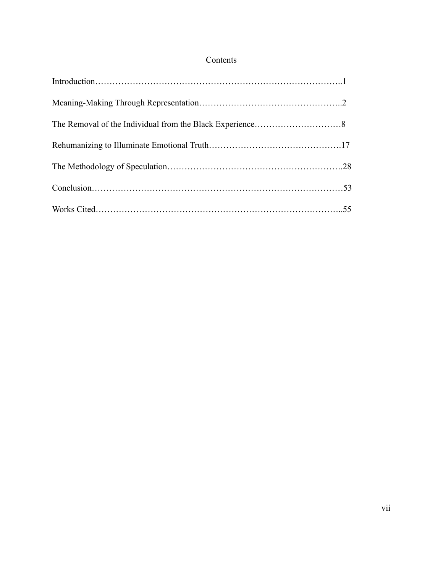### Contents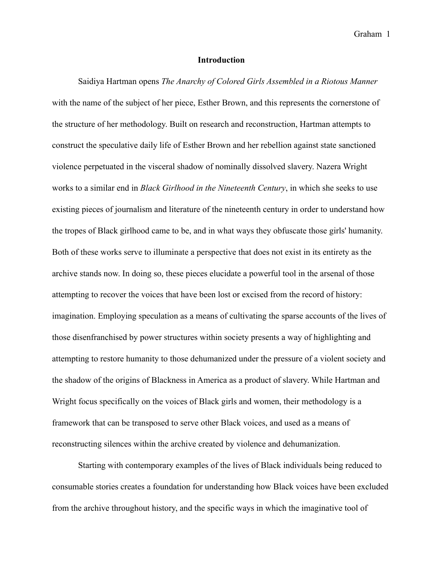#### **Introduction**

Saidiya Hartman opens *The Anarchy of Colored Girls Assembled in a Riotous Manner*  with the name of the subject of her piece, Esther Brown, and this represents the cornerstone of the structure of her methodology. Built on research and reconstruction, Hartman attempts to construct the speculative daily life of Esther Brown and her rebellion against state sanctioned violence perpetuated in the visceral shadow of nominally dissolved slavery. Nazera Wright works to a similar end in *Black Girlhood in the Nineteenth Century*, in which she seeks to use existing pieces of journalism and literature of the nineteenth century in order to understand how the tropes of Black girlhood came to be, and in what ways they obfuscate those girls' humanity. Both of these works serve to illuminate a perspective that does not exist in its entirety as the archive stands now. In doing so, these pieces elucidate a powerful tool in the arsenal of those attempting to recover the voices that have been lost or excised from the record of history: imagination. Employing speculation as a means of cultivating the sparse accounts of the lives of those disenfranchised by power structures within society presents a way of highlighting and attempting to restore humanity to those dehumanized under the pressure of a violent society and the shadow of the origins of Blackness in America as a product of slavery. While Hartman and Wright focus specifically on the voices of Black girls and women, their methodology is a framework that can be transposed to serve other Black voices, and used as a means of reconstructing silences within the archive created by violence and dehumanization.

Starting with contemporary examples of the lives of Black individuals being reduced to consumable stories creates a foundation for understanding how Black voices have been excluded from the archive throughout history, and the specific ways in which the imaginative tool of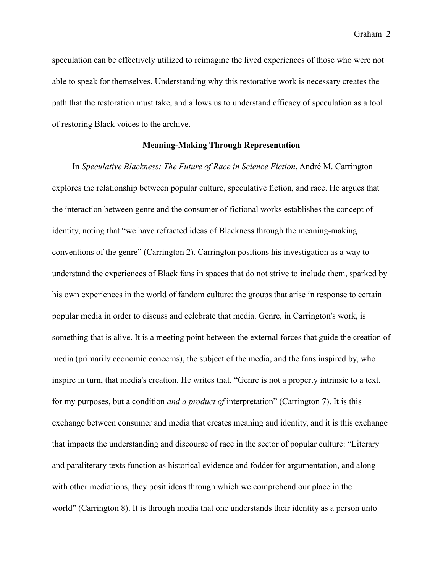speculation can be effectively utilized to reimagine the lived experiences of those who were not able to speak for themselves. Understanding why this restorative work is necessary creates the path that the restoration must take, and allows us to understand efficacy of speculation as a tool of restoring Black voices to the archive.

#### **Meaning-Making Through Representation**

 In *Speculative Blackness: The Future of Race in Science Fiction*, André M. Carrington explores the relationship between popular culture, speculative fiction, and race. He argues that the interaction between genre and the consumer of fictional works establishes the concept of identity, noting that "we have refracted ideas of Blackness through the meaning-making conventions of the genre" (Carrington 2). Carrington positions his investigation as a way to understand the experiences of Black fans in spaces that do not strive to include them, sparked by his own experiences in the world of fandom culture: the groups that arise in response to certain popular media in order to discuss and celebrate that media. Genre, in Carrington's work, is something that is alive. It is a meeting point between the external forces that guide the creation of media (primarily economic concerns), the subject of the media, and the fans inspired by, who inspire in turn, that media's creation. He writes that, "Genre is not a property intrinsic to a text, for my purposes, but a condition *and a product of* interpretation" (Carrington 7). It is this exchange between consumer and media that creates meaning and identity, and it is this exchange that impacts the understanding and discourse of race in the sector of popular culture: "Literary and paraliterary texts function as historical evidence and fodder for argumentation, and along with other mediations, they posit ideas through which we comprehend our place in the world" (Carrington 8). It is through media that one understands their identity as a person unto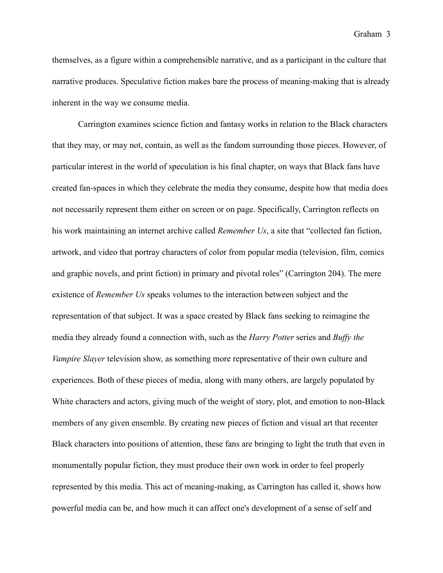themselves, as a figure within a comprehensible narrative, and as a participant in the culture that narrative produces. Speculative fiction makes bare the process of meaning-making that is already inherent in the way we consume media.

Carrington examines science fiction and fantasy works in relation to the Black characters that they may, or may not, contain, as well as the fandom surrounding those pieces. However, of particular interest in the world of speculation is his final chapter, on ways that Black fans have created fan-spaces in which they celebrate the media they consume, despite how that media does not necessarily represent them either on screen or on page. Specifically, Carrington reflects on his work maintaining an internet archive called *Remember Us*, a site that "collected fan fiction, artwork, and video that portray characters of color from popular media (television, film, comics and graphic novels, and print fiction) in primary and pivotal roles" (Carrington 204). The mere existence of *Remember Us* speaks volumes to the interaction between subject and the representation of that subject. It was a space created by Black fans seeking to reimagine the media they already found a connection with, such as the *Harry Potter* series and *Buffy the Vampire Slayer* television show, as something more representative of their own culture and experiences. Both of these pieces of media, along with many others, are largely populated by White characters and actors, giving much of the weight of story, plot, and emotion to non-Black members of any given ensemble. By creating new pieces of fiction and visual art that recenter Black characters into positions of attention, these fans are bringing to light the truth that even in monumentally popular fiction, they must produce their own work in order to feel properly represented by this media. This act of meaning-making, as Carrington has called it, shows how powerful media can be, and how much it can affect one's development of a sense of self and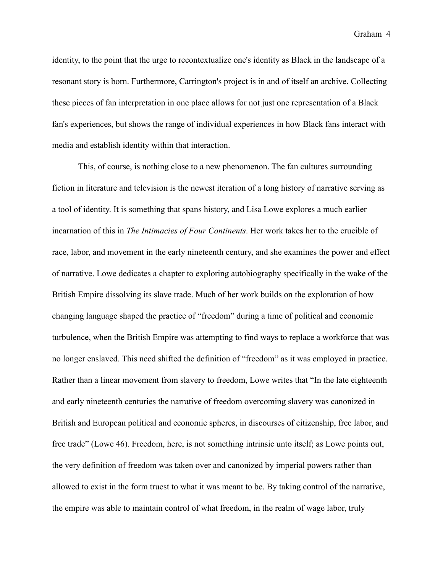identity, to the point that the urge to recontextualize one's identity as Black in the landscape of a resonant story is born. Furthermore, Carrington's project is in and of itself an archive. Collecting these pieces of fan interpretation in one place allows for not just one representation of a Black fan's experiences, but shows the range of individual experiences in how Black fans interact with media and establish identity within that interaction.

This, of course, is nothing close to a new phenomenon. The fan cultures surrounding fiction in literature and television is the newest iteration of a long history of narrative serving as a tool of identity. It is something that spans history, and Lisa Lowe explores a much earlier incarnation of this in *The Intimacies of Four Continents*. Her work takes her to the crucible of race, labor, and movement in the early nineteenth century, and she examines the power and effect of narrative. Lowe dedicates a chapter to exploring autobiography specifically in the wake of the British Empire dissolving its slave trade. Much of her work builds on the exploration of how changing language shaped the practice of "freedom" during a time of political and economic turbulence, when the British Empire was attempting to find ways to replace a workforce that was no longer enslaved. This need shifted the definition of "freedom" as it was employed in practice. Rather than a linear movement from slavery to freedom, Lowe writes that "In the late eighteenth and early nineteenth centuries the narrative of freedom overcoming slavery was canonized in British and European political and economic spheres, in discourses of citizenship, free labor, and free trade" (Lowe 46). Freedom, here, is not something intrinsic unto itself; as Lowe points out, the very definition of freedom was taken over and canonized by imperial powers rather than allowed to exist in the form truest to what it was meant to be. By taking control of the narrative, the empire was able to maintain control of what freedom, in the realm of wage labor, truly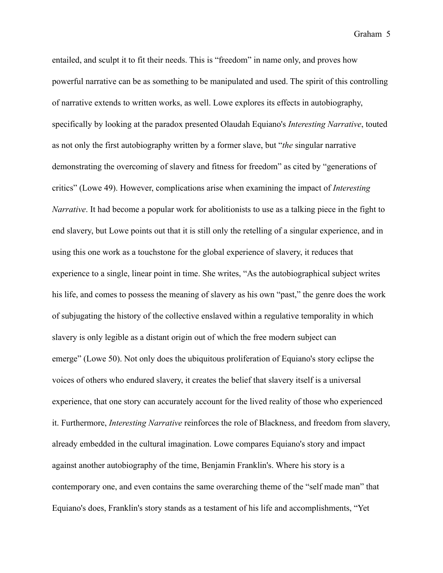entailed, and sculpt it to fit their needs. This is "freedom" in name only, and proves how powerful narrative can be as something to be manipulated and used. The spirit of this controlling of narrative extends to written works, as well. Lowe explores its effects in autobiography, specifically by looking at the paradox presented Olaudah Equiano's *Interesting Narrative*, touted as not only the first autobiography written by a former slave, but "*the* singular narrative demonstrating the overcoming of slavery and fitness for freedom" as cited by "generations of critics" (Lowe 49). However, complications arise when examining the impact of *Interesting Narrative*. It had become a popular work for abolitionists to use as a talking piece in the fight to end slavery, but Lowe points out that it is still only the retelling of a singular experience, and in using this one work as a touchstone for the global experience of slavery, it reduces that experience to a single, linear point in time. She writes, "As the autobiographical subject writes his life, and comes to possess the meaning of slavery as his own "past," the genre does the work of subjugating the history of the collective enslaved within a regulative temporality in which slavery is only legible as a distant origin out of which the free modern subject can emerge" (Lowe 50). Not only does the ubiquitous proliferation of Equiano's story eclipse the voices of others who endured slavery, it creates the belief that slavery itself is a universal experience, that one story can accurately account for the lived reality of those who experienced it. Furthermore, *Interesting Narrative* reinforces the role of Blackness, and freedom from slavery, already embedded in the cultural imagination. Lowe compares Equiano's story and impact against another autobiography of the time, Benjamin Franklin's. Where his story is a contemporary one, and even contains the same overarching theme of the "self made man" that Equiano's does, Franklin's story stands as a testament of his life and accomplishments, "Yet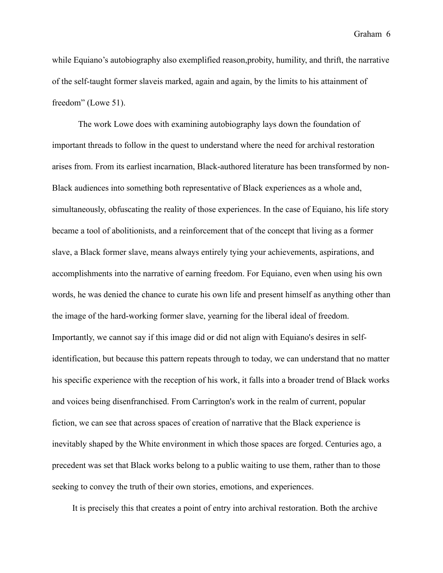while Equiano's autobiography also exemplified reason, probity, humility, and thrift, the narrative of the self-taught former slaveis marked, again and again, by the limits to his attainment of freedom" (Lowe 51).

The work Lowe does with examining autobiography lays down the foundation of important threads to follow in the quest to understand where the need for archival restoration arises from. From its earliest incarnation, Black-authored literature has been transformed by non-Black audiences into something both representative of Black experiences as a whole and, simultaneously, obfuscating the reality of those experiences. In the case of Equiano, his life story became a tool of abolitionists, and a reinforcement that of the concept that living as a former slave, a Black former slave, means always entirely tying your achievements, aspirations, and accomplishments into the narrative of earning freedom. For Equiano, even when using his own words, he was denied the chance to curate his own life and present himself as anything other than the image of the hard-working former slave, yearning for the liberal ideal of freedom. Importantly, we cannot say if this image did or did not align with Equiano's desires in selfidentification, but because this pattern repeats through to today, we can understand that no matter his specific experience with the reception of his work, it falls into a broader trend of Black works and voices being disenfranchised. From Carrington's work in the realm of current, popular fiction, we can see that across spaces of creation of narrative that the Black experience is inevitably shaped by the White environment in which those spaces are forged. Centuries ago, a precedent was set that Black works belong to a public waiting to use them, rather than to those seeking to convey the truth of their own stories, emotions, and experiences.

It is precisely this that creates a point of entry into archival restoration. Both the archive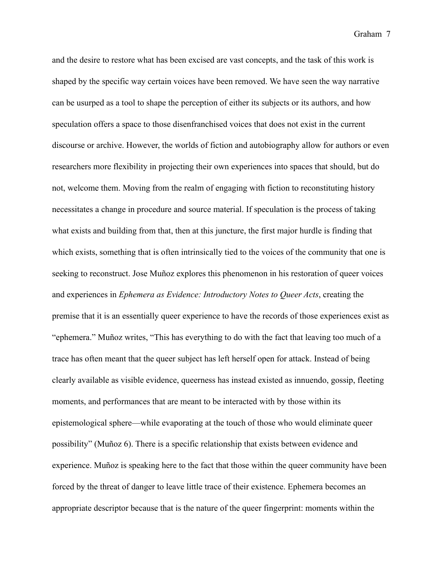and the desire to restore what has been excised are vast concepts, and the task of this work is shaped by the specific way certain voices have been removed. We have seen the way narrative can be usurped as a tool to shape the perception of either its subjects or its authors, and how speculation offers a space to those disenfranchised voices that does not exist in the current discourse or archive. However, the worlds of fiction and autobiography allow for authors or even researchers more flexibility in projecting their own experiences into spaces that should, but do not, welcome them. Moving from the realm of engaging with fiction to reconstituting history necessitates a change in procedure and source material. If speculation is the process of taking what exists and building from that, then at this juncture, the first major hurdle is finding that which exists, something that is often intrinsically tied to the voices of the community that one is seeking to reconstruct. Jose Muñoz explores this phenomenon in his restoration of queer voices and experiences in *Ephemera as Evidence: Introductory Notes to Queer Acts*, creating the premise that it is an essentially queer experience to have the records of those experiences exist as "ephemera." Muñoz writes, "This has everything to do with the fact that leaving too much of a trace has often meant that the queer subject has left herself open for attack. Instead of being clearly available as visible evidence, queerness has instead existed as innuendo, gossip, fleeting moments, and performances that are meant to be interacted with by those within its epistemological sphere—while evaporating at the touch of those who would eliminate queer possibility" (Muñoz 6). There is a specific relationship that exists between evidence and experience. Muñoz is speaking here to the fact that those within the queer community have been forced by the threat of danger to leave little trace of their existence. Ephemera becomes an appropriate descriptor because that is the nature of the queer fingerprint: moments within the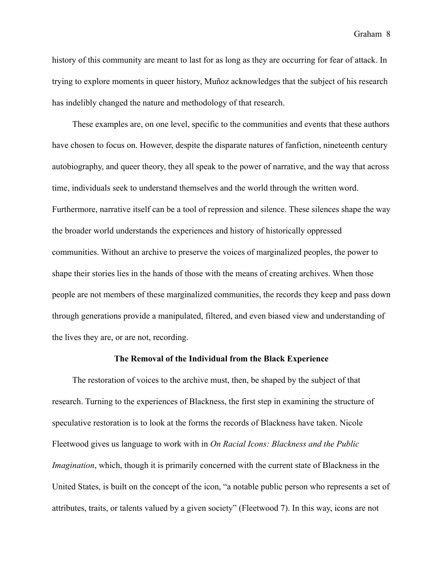history of this community are meant to last for as long as they are occurring for fear of attack. In trying to explore moments in queer history, Muñoz acknowledges that the subject of his research has indelibly changed the nature and methodology of that research.

 These examples are, on one level, specific to the communities and events that these authors have chosen to focus on. However, despite the disparate natures of fanfiction, nineteenth century autobiography, and queer theory, they all speak to the power of narrative, and the way that across time, individuals seek to understand themselves and the world through the written word. Furthermore, narrative itself can be a tool of repression and silence. These silences shape the way the broader world understands the experiences and history of historically oppressed communities. Without an archive to preserve the voices of marginalized peoples, the power to shape their stories lies in the hands of those with the means of creating archives. When those people are not members of these marginalized communities, the records they keep and pass down through generations provide a manipulated, filtered, and even biased view and understanding of the lives they are, or are not, recording.

#### **The Removal of the Individual from the Black Experience**

 The restoration of voices to the archive must, then, be shaped by the subject of that research. Turning to the experiences of Blackness, the first step in examining the structure of speculative restoration is to look at the forms the records of Blackness have taken. Nicole Fleetwood gives us language to work with in *On Racial Icons: Blackness and the Public Imagination*, which, though it is primarily concerned with the current state of Blackness in the United States, is built on the concept of the icon, "a notable public person who represents a set of attributes, traits, or talents valued by a given society" (Fleetwood 7). In this way, icons are not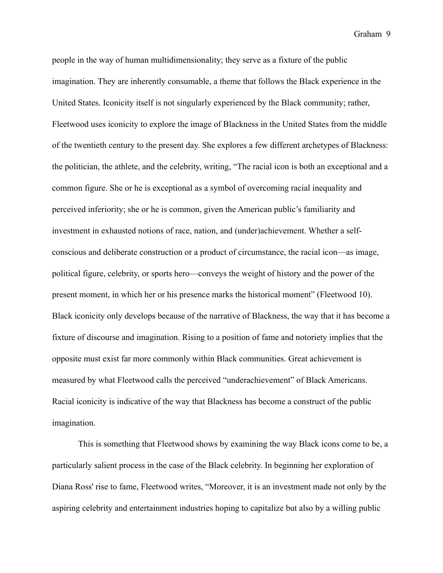people in the way of human multidimensionality; they serve as a fixture of the public imagination. They are inherently consumable, a theme that follows the Black experience in the United States. Iconicity itself is not singularly experienced by the Black community; rather, Fleetwood uses iconicity to explore the image of Blackness in the United States from the middle of the twentieth century to the present day. She explores a few different archetypes of Blackness: the politician, the athlete, and the celebrity, writing, "The racial icon is both an exceptional and a common figure. She or he is exceptional as a symbol of overcoming racial inequality and perceived inferiority; she or he is common, given the American public's familiarity and investment in exhausted notions of race, nation, and (under)achievement. Whether a selfconscious and deliberate construction or a product of circumstance, the racial icon—as image, political figure, celebrity, or sports hero—conveys the weight of history and the power of the present moment, in which her or his presence marks the historical moment" (Fleetwood 10). Black iconicity only develops because of the narrative of Blackness, the way that it has become a fixture of discourse and imagination. Rising to a position of fame and notoriety implies that the opposite must exist far more commonly within Black communities. Great achievement is measured by what Fleetwood calls the perceived "underachievement" of Black Americans. Racial iconicity is indicative of the way that Blackness has become a construct of the public imagination.

This is something that Fleetwood shows by examining the way Black icons come to be, a particularly salient process in the case of the Black celebrity. In beginning her exploration of Diana Ross' rise to fame, Fleetwood writes, "Moreover, it is an investment made not only by the aspiring celebrity and entertainment industries hoping to capitalize but also by a willing public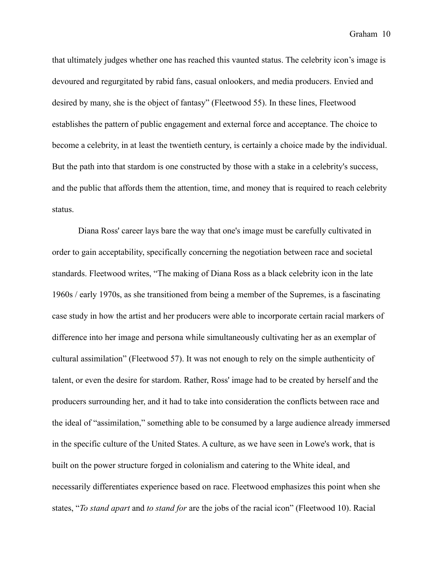that ultimately judges whether one has reached this vaunted status. The celebrity icon's image is devoured and regurgitated by rabid fans, casual onlookers, and media producers. Envied and desired by many, she is the object of fantasy" (Fleetwood 55). In these lines, Fleetwood establishes the pattern of public engagement and external force and acceptance. The choice to become a celebrity, in at least the twentieth century, is certainly a choice made by the individual. But the path into that stardom is one constructed by those with a stake in a celebrity's success, and the public that affords them the attention, time, and money that is required to reach celebrity status.

Diana Ross' career lays bare the way that one's image must be carefully cultivated in order to gain acceptability, specifically concerning the negotiation between race and societal standards. Fleetwood writes, "The making of Diana Ross as a black celebrity icon in the late 1960s / early 1970s, as she transitioned from being a member of the Supremes, is a fascinating case study in how the artist and her producers were able to incorporate certain racial markers of difference into her image and persona while simultaneously cultivating her as an exemplar of cultural assimilation" (Fleetwood 57). It was not enough to rely on the simple authenticity of talent, or even the desire for stardom. Rather, Ross' image had to be created by herself and the producers surrounding her, and it had to take into consideration the conflicts between race and the ideal of "assimilation," something able to be consumed by a large audience already immersed in the specific culture of the United States. A culture, as we have seen in Lowe's work, that is built on the power structure forged in colonialism and catering to the White ideal, and necessarily differentiates experience based on race. Fleetwood emphasizes this point when she states, "*To stand apart* and *to stand for* are the jobs of the racial icon" (Fleetwood 10). Racial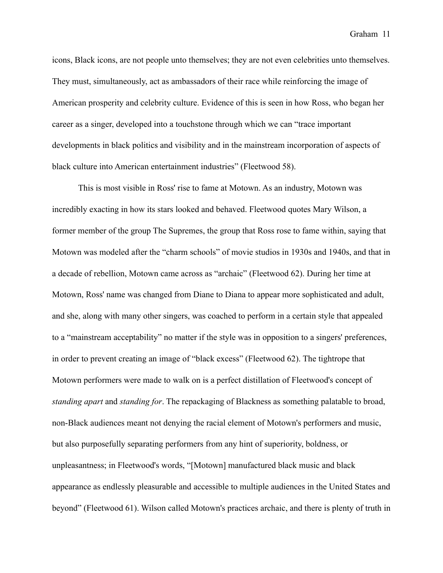icons, Black icons, are not people unto themselves; they are not even celebrities unto themselves. They must, simultaneously, act as ambassadors of their race while reinforcing the image of American prosperity and celebrity culture. Evidence of this is seen in how Ross, who began her career as a singer, developed into a touchstone through which we can "trace important developments in black politics and visibility and in the mainstream incorporation of aspects of black culture into American entertainment industries" (Fleetwood 58).

This is most visible in Ross' rise to fame at Motown. As an industry, Motown was incredibly exacting in how its stars looked and behaved. Fleetwood quotes Mary Wilson, a former member of the group The Supremes, the group that Ross rose to fame within, saying that Motown was modeled after the "charm schools" of movie studios in 1930s and 1940s, and that in a decade of rebellion, Motown came across as "archaic" (Fleetwood 62). During her time at Motown, Ross' name was changed from Diane to Diana to appear more sophisticated and adult, and she, along with many other singers, was coached to perform in a certain style that appealed to a "mainstream acceptability" no matter if the style was in opposition to a singers' preferences, in order to prevent creating an image of "black excess" (Fleetwood 62). The tightrope that Motown performers were made to walk on is a perfect distillation of Fleetwood's concept of *standing apart* and *standing for*. The repackaging of Blackness as something palatable to broad, non-Black audiences meant not denying the racial element of Motown's performers and music, but also purposefully separating performers from any hint of superiority, boldness, or unpleasantness; in Fleetwood's words, "[Motown] manufactured black music and black appearance as endlessly pleasurable and accessible to multiple audiences in the United States and beyond" (Fleetwood 61). Wilson called Motown's practices archaic, and there is plenty of truth in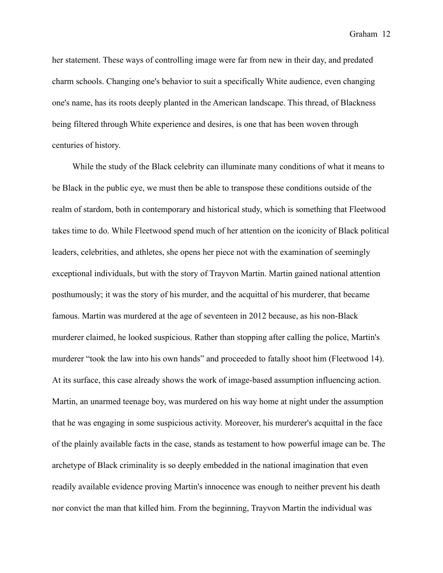her statement. These ways of controlling image were far from new in their day, and predated charm schools. Changing one's behavior to suit a specifically White audience, even changing one's name, has its roots deeply planted in the American landscape. This thread, of Blackness being filtered through White experience and desires, is one that has been woven through centuries of history.

 While the study of the Black celebrity can illuminate many conditions of what it means to be Black in the public eye, we must then be able to transpose these conditions outside of the realm of stardom, both in contemporary and historical study, which is something that Fleetwood takes time to do. While Fleetwood spend much of her attention on the iconicity of Black political leaders, celebrities, and athletes, she opens her piece not with the examination of seemingly exceptional individuals, but with the story of Trayvon Martin. Martin gained national attention posthumously; it was the story of his murder, and the acquittal of his murderer, that became famous. Martin was murdered at the age of seventeen in 2012 because, as his non-Black murderer claimed, he looked suspicious. Rather than stopping after calling the police, Martin's murderer "took the law into his own hands" and proceeded to fatally shoot him (Fleetwood 14). At its surface, this case already shows the work of image-based assumption influencing action. Martin, an unarmed teenage boy, was murdered on his way home at night under the assumption that he was engaging in some suspicious activity. Moreover, his murderer's acquittal in the face of the plainly available facts in the case, stands as testament to how powerful image can be. The archetype of Black criminality is so deeply embedded in the national imagination that even readily available evidence proving Martin's innocence was enough to neither prevent his death nor convict the man that killed him. From the beginning, Trayvon Martin the individual was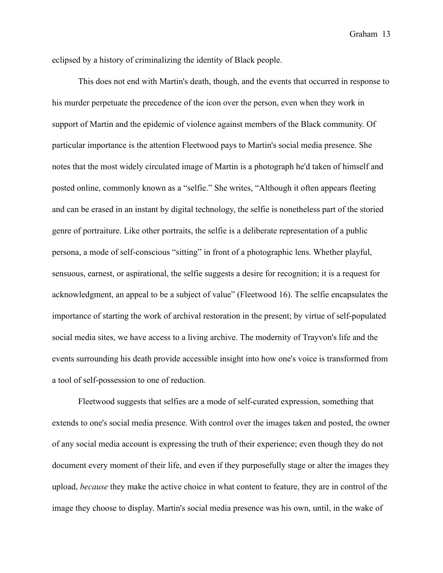eclipsed by a history of criminalizing the identity of Black people.

This does not end with Martin's death, though, and the events that occurred in response to his murder perpetuate the precedence of the icon over the person, even when they work in support of Martin and the epidemic of violence against members of the Black community. Of particular importance is the attention Fleetwood pays to Martin's social media presence. She notes that the most widely circulated image of Martin is a photograph he'd taken of himself and posted online, commonly known as a "selfie." She writes, "Although it often appears fleeting and can be erased in an instant by digital technology, the selfie is nonetheless part of the storied genre of portraiture. Like other portraits, the selfie is a deliberate representation of a public persona, a mode of self-conscious "sitting" in front of a photographic lens. Whether playful, sensuous, earnest, or aspirational, the selfie suggests a desire for recognition; it is a request for acknowledgment, an appeal to be a subject of value" (Fleetwood 16). The selfie encapsulates the importance of starting the work of archival restoration in the present; by virtue of self-populated social media sites, we have access to a living archive. The modernity of Trayvon's life and the events surrounding his death provide accessible insight into how one's voice is transformed from a tool of self-possession to one of reduction.

Fleetwood suggests that selfies are a mode of self-curated expression, something that extends to one's social media presence. With control over the images taken and posted, the owner of any social media account is expressing the truth of their experience; even though they do not document every moment of their life, and even if they purposefully stage or alter the images they upload, *because* they make the active choice in what content to feature, they are in control of the image they choose to display. Martin's social media presence was his own, until, in the wake of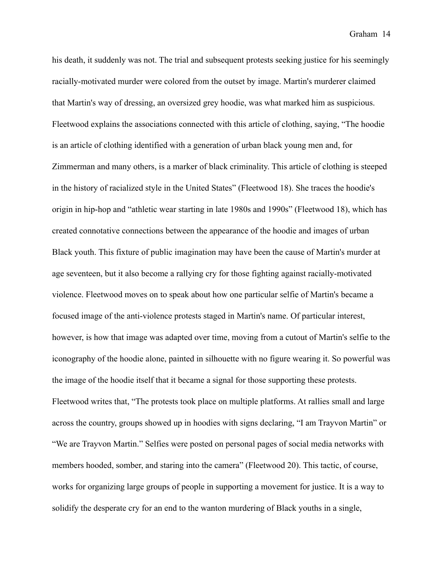his death, it suddenly was not. The trial and subsequent protests seeking justice for his seemingly racially-motivated murder were colored from the outset by image. Martin's murderer claimed that Martin's way of dressing, an oversized grey hoodie, was what marked him as suspicious. Fleetwood explains the associations connected with this article of clothing, saying, "The hoodie is an article of clothing identified with a generation of urban black young men and, for Zimmerman and many others, is a marker of black criminality. This article of clothing is steeped in the history of racialized style in the United States" (Fleetwood 18). She traces the hoodie's origin in hip-hop and "athletic wear starting in late 1980s and 1990s" (Fleetwood 18), which has created connotative connections between the appearance of the hoodie and images of urban Black youth. This fixture of public imagination may have been the cause of Martin's murder at age seventeen, but it also become a rallying cry for those fighting against racially-motivated violence. Fleetwood moves on to speak about how one particular selfie of Martin's became a focused image of the anti-violence protests staged in Martin's name. Of particular interest, however, is how that image was adapted over time, moving from a cutout of Martin's selfie to the iconography of the hoodie alone, painted in silhouette with no figure wearing it. So powerful was the image of the hoodie itself that it became a signal for those supporting these protests. Fleetwood writes that, "The protests took place on multiple platforms. At rallies small and large across the country, groups showed up in hoodies with signs declaring, "I am Trayvon Martin" or "We are Trayvon Martin." Selfies were posted on personal pages of social media networks with members hooded, somber, and staring into the camera" (Fleetwood 20). This tactic, of course, works for organizing large groups of people in supporting a movement for justice. It is a way to solidify the desperate cry for an end to the wanton murdering of Black youths in a single,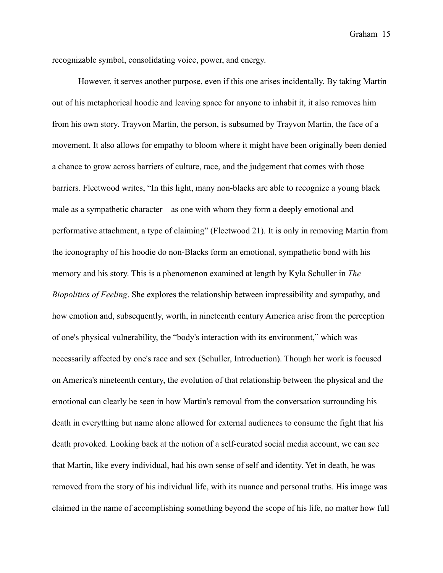recognizable symbol, consolidating voice, power, and energy.

However, it serves another purpose, even if this one arises incidentally. By taking Martin out of his metaphorical hoodie and leaving space for anyone to inhabit it, it also removes him from his own story. Trayvon Martin, the person, is subsumed by Trayvon Martin, the face of a movement. It also allows for empathy to bloom where it might have been originally been denied a chance to grow across barriers of culture, race, and the judgement that comes with those barriers. Fleetwood writes, "In this light, many non-blacks are able to recognize a young black male as a sympathetic character—as one with whom they form a deeply emotional and performative attachment, a type of claiming" (Fleetwood 21). It is only in removing Martin from the iconography of his hoodie do non-Blacks form an emotional, sympathetic bond with his memory and his story. This is a phenomenon examined at length by Kyla Schuller in *The Biopolitics of Feeling*. She explores the relationship between impressibility and sympathy, and how emotion and, subsequently, worth, in nineteenth century America arise from the perception of one's physical vulnerability, the "body's interaction with its environment," which was necessarily affected by one's race and sex (Schuller, Introduction). Though her work is focused on America's nineteenth century, the evolution of that relationship between the physical and the emotional can clearly be seen in how Martin's removal from the conversation surrounding his death in everything but name alone allowed for external audiences to consume the fight that his death provoked. Looking back at the notion of a self-curated social media account, we can see that Martin, like every individual, had his own sense of self and identity. Yet in death, he was removed from the story of his individual life, with its nuance and personal truths. His image was claimed in the name of accomplishing something beyond the scope of his life, no matter how full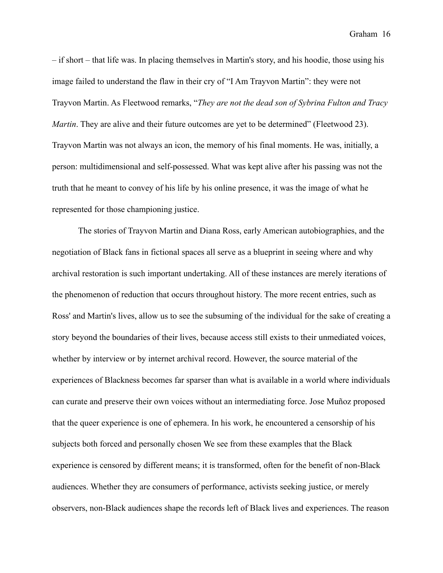– if short – that life was. In placing themselves in Martin's story, and his hoodie, those using his image failed to understand the flaw in their cry of "I Am Trayvon Martin": they were not Trayvon Martin. As Fleetwood remarks, "*They are not the dead son of Sybrina Fulton and Tracy Martin*. They are alive and their future outcomes are yet to be determined" (Fleetwood 23). Trayvon Martin was not always an icon, the memory of his final moments. He was, initially, a person: multidimensional and self-possessed. What was kept alive after his passing was not the truth that he meant to convey of his life by his online presence, it was the image of what he represented for those championing justice.

The stories of Trayvon Martin and Diana Ross, early American autobiographies, and the negotiation of Black fans in fictional spaces all serve as a blueprint in seeing where and why archival restoration is such important undertaking. All of these instances are merely iterations of the phenomenon of reduction that occurs throughout history. The more recent entries, such as Ross' and Martin's lives, allow us to see the subsuming of the individual for the sake of creating a story beyond the boundaries of their lives, because access still exists to their unmediated voices, whether by interview or by internet archival record. However, the source material of the experiences of Blackness becomes far sparser than what is available in a world where individuals can curate and preserve their own voices without an intermediating force. Jose Muñoz proposed that the queer experience is one of ephemera. In his work, he encountered a censorship of his subjects both forced and personally chosen We see from these examples that the Black experience is censored by different means; it is transformed, often for the benefit of non-Black audiences. Whether they are consumers of performance, activists seeking justice, or merely observers, non-Black audiences shape the records left of Black lives and experiences. The reason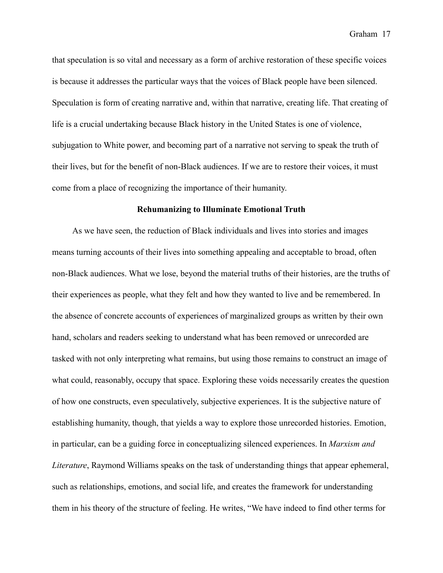that speculation is so vital and necessary as a form of archive restoration of these specific voices is because it addresses the particular ways that the voices of Black people have been silenced. Speculation is form of creating narrative and, within that narrative, creating life. That creating of life is a crucial undertaking because Black history in the United States is one of violence, subjugation to White power, and becoming part of a narrative not serving to speak the truth of their lives, but for the benefit of non-Black audiences. If we are to restore their voices, it must come from a place of recognizing the importance of their humanity.

#### **Rehumanizing to Illuminate Emotional Truth**

 As we have seen, the reduction of Black individuals and lives into stories and images means turning accounts of their lives into something appealing and acceptable to broad, often non-Black audiences. What we lose, beyond the material truths of their histories, are the truths of their experiences as people, what they felt and how they wanted to live and be remembered. In the absence of concrete accounts of experiences of marginalized groups as written by their own hand, scholars and readers seeking to understand what has been removed or unrecorded are tasked with not only interpreting what remains, but using those remains to construct an image of what could, reasonably, occupy that space. Exploring these voids necessarily creates the question of how one constructs, even speculatively, subjective experiences. It is the subjective nature of establishing humanity, though, that yields a way to explore those unrecorded histories. Emotion, in particular, can be a guiding force in conceptualizing silenced experiences. In *Marxism and Literature*, Raymond Williams speaks on the task of understanding things that appear ephemeral, such as relationships, emotions, and social life, and creates the framework for understanding them in his theory of the structure of feeling. He writes, "We have indeed to find other terms for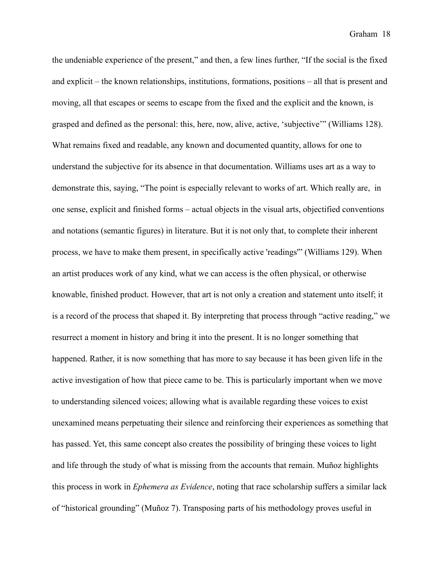the undeniable experience of the present," and then, a few lines further, "If the social is the fixed and explicit – the known relationships, institutions, formations, positions – all that is present and moving, all that escapes or seems to escape from the fixed and the explicit and the known, is grasped and defined as the personal: this, here, now, alive, active, 'subjective'" (Williams 128). What remains fixed and readable, any known and documented quantity, allows for one to understand the subjective for its absence in that documentation. Williams uses art as a way to demonstrate this, saying, "The point is especially relevant to works of art. Which really are, in one sense, explicit and finished forms – actual objects in the visual arts, objectified conventions and notations (semantic figures) in literature. But it is not only that, to complete their inherent process, we have to make them present, in specifically active 'readings'" (Williams 129). When an artist produces work of any kind, what we can access is the often physical, or otherwise knowable, finished product. However, that art is not only a creation and statement unto itself; it is a record of the process that shaped it. By interpreting that process through "active reading," we resurrect a moment in history and bring it into the present. It is no longer something that happened. Rather, it is now something that has more to say because it has been given life in the active investigation of how that piece came to be. This is particularly important when we move to understanding silenced voices; allowing what is available regarding these voices to exist unexamined means perpetuating their silence and reinforcing their experiences as something that has passed. Yet, this same concept also creates the possibility of bringing these voices to light and life through the study of what is missing from the accounts that remain. Muñoz highlights this process in work in *Ephemera as Evidence*, noting that race scholarship suffers a similar lack of "historical grounding" (Muñoz 7). Transposing parts of his methodology proves useful in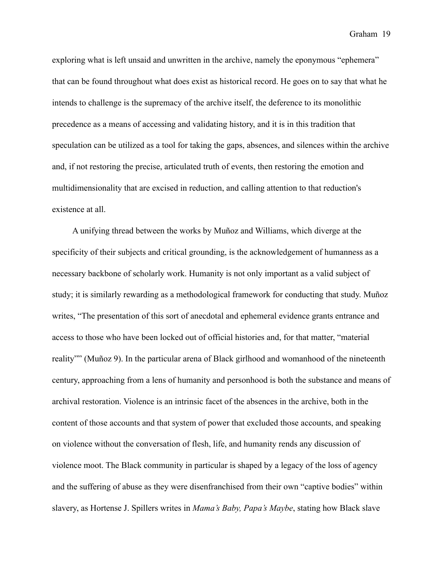exploring what is left unsaid and unwritten in the archive, namely the eponymous "ephemera" that can be found throughout what does exist as historical record. He goes on to say that what he intends to challenge is the supremacy of the archive itself, the deference to its monolithic precedence as a means of accessing and validating history, and it is in this tradition that speculation can be utilized as a tool for taking the gaps, absences, and silences within the archive and, if not restoring the precise, articulated truth of events, then restoring the emotion and multidimensionality that are excised in reduction, and calling attention to that reduction's existence at all.

 A unifying thread between the works by Muñoz and Williams, which diverge at the specificity of their subjects and critical grounding, is the acknowledgement of humanness as a necessary backbone of scholarly work. Humanity is not only important as a valid subject of study; it is similarly rewarding as a methodological framework for conducting that study. Muñoz writes, "The presentation of this sort of anecdotal and ephemeral evidence grants entrance and access to those who have been locked out of official histories and, for that matter, "material reality"" (Muñoz 9). In the particular arena of Black girlhood and womanhood of the nineteenth century, approaching from a lens of humanity and personhood is both the substance and means of archival restoration. Violence is an intrinsic facet of the absences in the archive, both in the content of those accounts and that system of power that excluded those accounts, and speaking on violence without the conversation of flesh, life, and humanity rends any discussion of violence moot. The Black community in particular is shaped by a legacy of the loss of agency and the suffering of abuse as they were disenfranchised from their own "captive bodies" within slavery, as Hortense J. Spillers writes in *Mama's Baby, Papa's Maybe*, stating how Black slave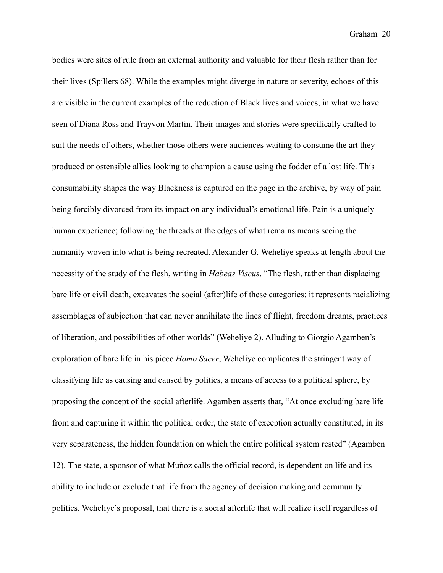bodies were sites of rule from an external authority and valuable for their flesh rather than for their lives (Spillers 68). While the examples might diverge in nature or severity, echoes of this are visible in the current examples of the reduction of Black lives and voices, in what we have seen of Diana Ross and Trayvon Martin. Their images and stories were specifically crafted to suit the needs of others, whether those others were audiences waiting to consume the art they produced or ostensible allies looking to champion a cause using the fodder of a lost life. This consumability shapes the way Blackness is captured on the page in the archive, by way of pain being forcibly divorced from its impact on any individual's emotional life. Pain is a uniquely human experience; following the threads at the edges of what remains means seeing the humanity woven into what is being recreated. Alexander G. Weheliye speaks at length about the necessity of the study of the flesh, writing in *Habeas Viscus*, "The flesh, rather than displacing bare life or civil death, excavates the social (after)life of these categories: it represents racializing assemblages of subjection that can never annihilate the lines of flight, freedom dreams, practices of liberation, and possibilities of other worlds" (Weheliye 2). Alluding to Giorgio Agamben's exploration of bare life in his piece *Homo Sacer*, Weheliye complicates the stringent way of classifying life as causing and caused by politics, a means of access to a political sphere, by proposing the concept of the social afterlife. Agamben asserts that, "At once excluding bare life from and capturing it within the political order, the state of exception actually constituted, in its very separateness, the hidden foundation on which the entire political system rested" (Agamben 12). The state, a sponsor of what Muñoz calls the official record, is dependent on life and its ability to include or exclude that life from the agency of decision making and community politics. Weheliye's proposal, that there is a social afterlife that will realize itself regardless of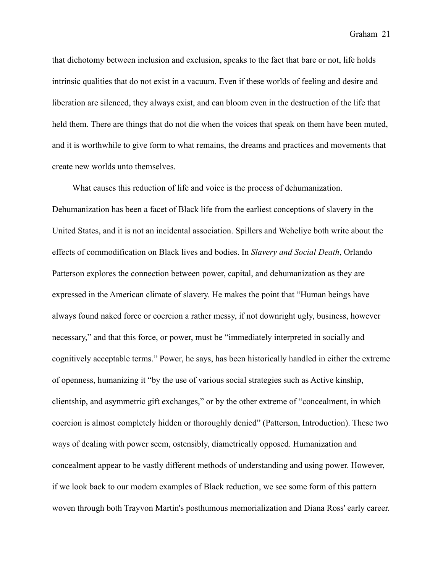that dichotomy between inclusion and exclusion, speaks to the fact that bare or not, life holds intrinsic qualities that do not exist in a vacuum. Even if these worlds of feeling and desire and liberation are silenced, they always exist, and can bloom even in the destruction of the life that held them. There are things that do not die when the voices that speak on them have been muted, and it is worthwhile to give form to what remains, the dreams and practices and movements that create new worlds unto themselves.

 What causes this reduction of life and voice is the process of dehumanization. Dehumanization has been a facet of Black life from the earliest conceptions of slavery in the United States, and it is not an incidental association. Spillers and Weheliye both write about the effects of commodification on Black lives and bodies. In *Slavery and Social Death*, Orlando Patterson explores the connection between power, capital, and dehumanization as they are expressed in the American climate of slavery. He makes the point that "Human beings have always found naked force or coercion a rather messy, if not downright ugly, business, however necessary," and that this force, or power, must be "immediately interpreted in socially and cognitively acceptable terms." Power, he says, has been historically handled in either the extreme of openness, humanizing it "by the use of various social strategies such as Active kinship, clientship, and asymmetric gift exchanges," or by the other extreme of "concealment, in which coercion is almost completely hidden or thoroughly denied" (Patterson, Introduction). These two ways of dealing with power seem, ostensibly, diametrically opposed. Humanization and concealment appear to be vastly different methods of understanding and using power. However, if we look back to our modern examples of Black reduction, we see some form of this pattern woven through both Trayvon Martin's posthumous memorialization and Diana Ross' early career.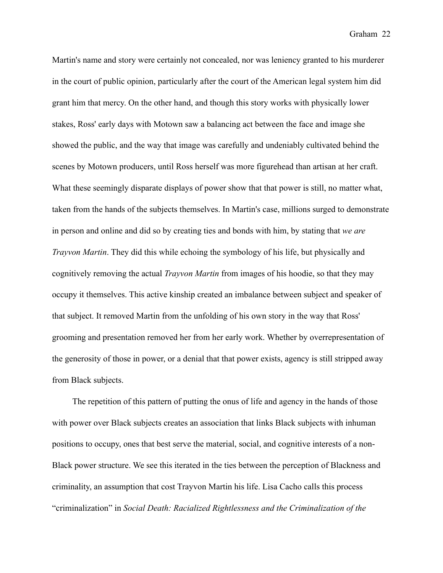Martin's name and story were certainly not concealed, nor was leniency granted to his murderer in the court of public opinion, particularly after the court of the American legal system him did grant him that mercy. On the other hand, and though this story works with physically lower stakes, Ross' early days with Motown saw a balancing act between the face and image she showed the public, and the way that image was carefully and undeniably cultivated behind the scenes by Motown producers, until Ross herself was more figurehead than artisan at her craft. What these seemingly disparate displays of power show that that power is still, no matter what, taken from the hands of the subjects themselves. In Martin's case, millions surged to demonstrate in person and online and did so by creating ties and bonds with him, by stating that *we are Trayvon Martin*. They did this while echoing the symbology of his life, but physically and cognitively removing the actual *Trayvon Martin* from images of his hoodie, so that they may occupy it themselves. This active kinship created an imbalance between subject and speaker of that subject. It removed Martin from the unfolding of his own story in the way that Ross' grooming and presentation removed her from her early work. Whether by overrepresentation of the generosity of those in power, or a denial that that power exists, agency is still stripped away from Black subjects.

 The repetition of this pattern of putting the onus of life and agency in the hands of those with power over Black subjects creates an association that links Black subjects with inhuman positions to occupy, ones that best serve the material, social, and cognitive interests of a non-Black power structure. We see this iterated in the ties between the perception of Blackness and criminality, an assumption that cost Trayvon Martin his life. Lisa Cacho calls this process "criminalization" in *Social Death: Racialized Rightlessness and the Criminalization of the*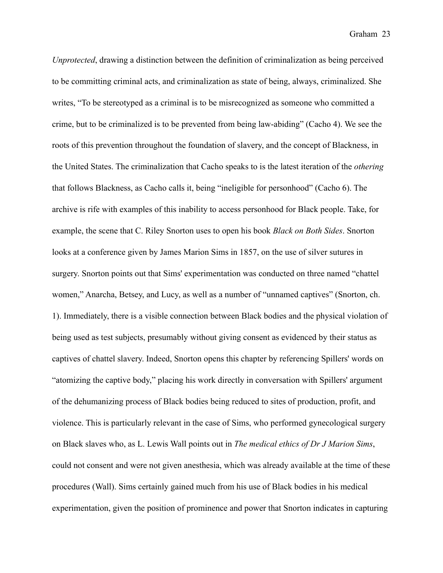*Unprotected*, drawing a distinction between the definition of criminalization as being perceived to be committing criminal acts, and criminalization as state of being, always, criminalized. She writes, "To be stereotyped as a criminal is to be misrecognized as someone who committed a crime, but to be criminalized is to be prevented from being law-abiding" (Cacho 4). We see the roots of this prevention throughout the foundation of slavery, and the concept of Blackness, in the United States. The criminalization that Cacho speaks to is the latest iteration of the *othering* that follows Blackness, as Cacho calls it, being "ineligible for personhood" (Cacho 6). The archive is rife with examples of this inability to access personhood for Black people. Take, for example, the scene that C. Riley Snorton uses to open his book *Black on Both Sides*. Snorton looks at a conference given by James Marion Sims in 1857, on the use of silver sutures in surgery. Snorton points out that Sims' experimentation was conducted on three named "chattel women," Anarcha, Betsey, and Lucy, as well as a number of "unnamed captives" (Snorton, ch. 1). Immediately, there is a visible connection between Black bodies and the physical violation of being used as test subjects, presumably without giving consent as evidenced by their status as captives of chattel slavery. Indeed, Snorton opens this chapter by referencing Spillers' words on "atomizing the captive body," placing his work directly in conversation with Spillers' argument of the dehumanizing process of Black bodies being reduced to sites of production, profit, and violence. This is particularly relevant in the case of Sims, who performed gynecological surgery on Black slaves who, as L. Lewis Wall points out in *The medical ethics of Dr J Marion Sims*, could not consent and were not given anesthesia, which was already available at the time of these procedures (Wall). Sims certainly gained much from his use of Black bodies in his medical experimentation, given the position of prominence and power that Snorton indicates in capturing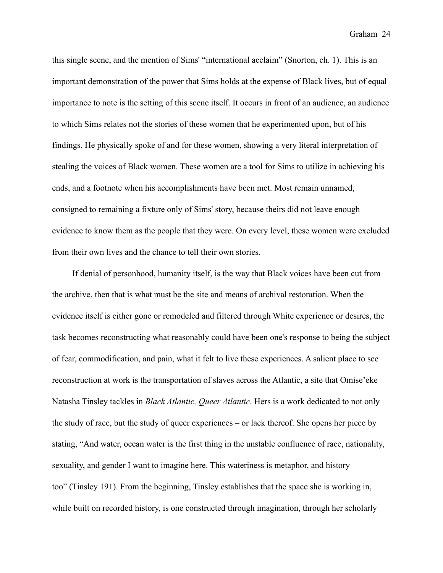this single scene, and the mention of Sims' "international acclaim" (Snorton, ch. 1). This is an important demonstration of the power that Sims holds at the expense of Black lives, but of equal importance to note is the setting of this scene itself. It occurs in front of an audience, an audience to which Sims relates not the stories of these women that he experimented upon, but of his findings. He physically spoke of and for these women, showing a very literal interpretation of stealing the voices of Black women. These women are a tool for Sims to utilize in achieving his ends, and a footnote when his accomplishments have been met. Most remain unnamed, consigned to remaining a fixture only of Sims' story, because theirs did not leave enough evidence to know them as the people that they were. On every level, these women were excluded from their own lives and the chance to tell their own stories.

 If denial of personhood, humanity itself, is the way that Black voices have been cut from the archive, then that is what must be the site and means of archival restoration. When the evidence itself is either gone or remodeled and filtered through White experience or desires, the task becomes reconstructing what reasonably could have been one's response to being the subject of fear, commodification, and pain, what it felt to live these experiences. A salient place to see reconstruction at work is the transportation of slaves across the Atlantic, a site that Omise'eke Natasha Tinsley tackles in *Black Atlantic, Queer Atlantic*. Hers is a work dedicated to not only the study of race, but the study of queer experiences – or lack thereof. She opens her piece by stating, "And water, ocean water is the first thing in the unstable confluence of race, nationality, sexuality, and gender I want to imagine here. This wateriness is metaphor, and history too" (Tinsley 191). From the beginning, Tinsley establishes that the space she is working in, while built on recorded history, is one constructed through imagination, through her scholarly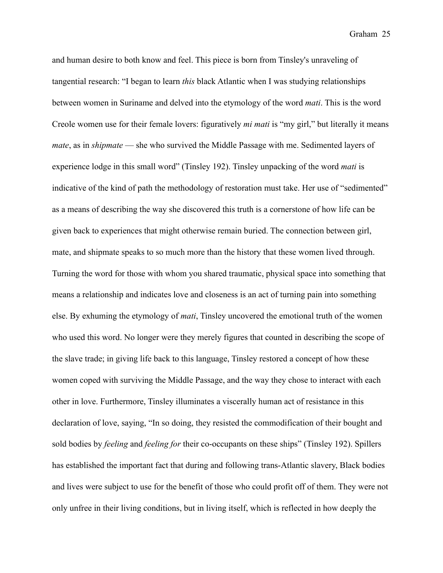and human desire to both know and feel. This piece is born from Tinsley's unraveling of tangential research: "I began to learn *this* black Atlantic when I was studying relationships between women in Suriname and delved into the etymology of the word *mati*. This is the word Creole women use for their female lovers: figuratively *mi mati* is "my girl," but literally it means *mate*, as in *shipmate* — she who survived the Middle Passage with me. Sedimented layers of experience lodge in this small word" (Tinsley 192). Tinsley unpacking of the word *mati* is indicative of the kind of path the methodology of restoration must take. Her use of "sedimented" as a means of describing the way she discovered this truth is a cornerstone of how life can be given back to experiences that might otherwise remain buried. The connection between girl, mate, and shipmate speaks to so much more than the history that these women lived through. Turning the word for those with whom you shared traumatic, physical space into something that means a relationship and indicates love and closeness is an act of turning pain into something else. By exhuming the etymology of *mati*, Tinsley uncovered the emotional truth of the women who used this word. No longer were they merely figures that counted in describing the scope of the slave trade; in giving life back to this language, Tinsley restored a concept of how these women coped with surviving the Middle Passage, and the way they chose to interact with each other in love. Furthermore, Tinsley illuminates a viscerally human act of resistance in this declaration of love, saying, "In so doing, they resisted the commodification of their bought and sold bodies by *feeling* and *feeling for* their co-occupants on these ships" (Tinsley 192). Spillers has established the important fact that during and following trans-Atlantic slavery, Black bodies and lives were subject to use for the benefit of those who could profit off of them. They were not only unfree in their living conditions, but in living itself, which is reflected in how deeply the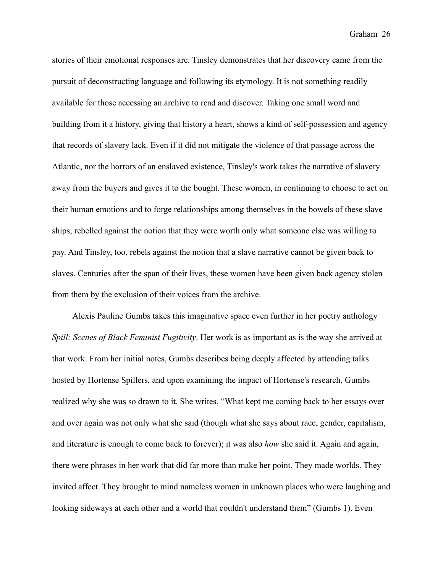stories of their emotional responses are. Tinsley demonstrates that her discovery came from the pursuit of deconstructing language and following its etymology. It is not something readily available for those accessing an archive to read and discover. Taking one small word and building from it a history, giving that history a heart, shows a kind of self-possession and agency that records of slavery lack. Even if it did not mitigate the violence of that passage across the Atlantic, nor the horrors of an enslaved existence, Tinsley's work takes the narrative of slavery away from the buyers and gives it to the bought. These women, in continuing to choose to act on their human emotions and to forge relationships among themselves in the bowels of these slave ships, rebelled against the notion that they were worth only what someone else was willing to pay. And Tinsley, too, rebels against the notion that a slave narrative cannot be given back to slaves. Centuries after the span of their lives, these women have been given back agency stolen from them by the exclusion of their voices from the archive.

 Alexis Pauline Gumbs takes this imaginative space even further in her poetry anthology *Spill: Scenes of Black Feminist Fugitivity*. Her work is as important as is the way she arrived at that work. From her initial notes, Gumbs describes being deeply affected by attending talks hosted by Hortense Spillers, and upon examining the impact of Hortense's research, Gumbs realized why she was so drawn to it. She writes, "What kept me coming back to her essays over and over again was not only what she said (though what she says about race, gender, capitalism, and literature is enough to come back to forever); it was also *how* she said it. Again and again, there were phrases in her work that did far more than make her point. They made worlds. They invited affect. They brought to mind nameless women in unknown places who were laughing and looking sideways at each other and a world that couldn't understand them" (Gumbs 1). Even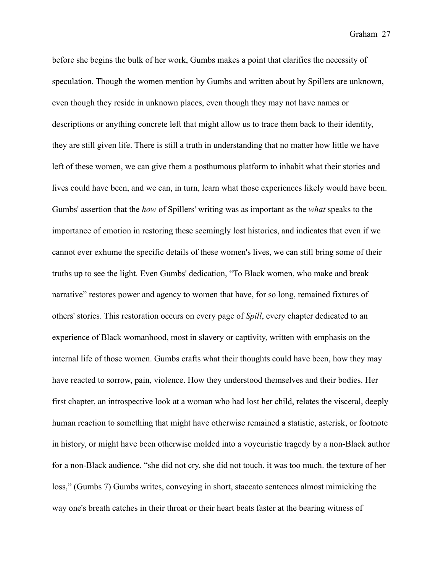before she begins the bulk of her work, Gumbs makes a point that clarifies the necessity of speculation. Though the women mention by Gumbs and written about by Spillers are unknown, even though they reside in unknown places, even though they may not have names or descriptions or anything concrete left that might allow us to trace them back to their identity, they are still given life. There is still a truth in understanding that no matter how little we have left of these women, we can give them a posthumous platform to inhabit what their stories and lives could have been, and we can, in turn, learn what those experiences likely would have been. Gumbs' assertion that the *how* of Spillers' writing was as important as the *what* speaks to the importance of emotion in restoring these seemingly lost histories, and indicates that even if we cannot ever exhume the specific details of these women's lives, we can still bring some of their truths up to see the light. Even Gumbs' dedication, "To Black women, who make and break narrative" restores power and agency to women that have, for so long, remained fixtures of others' stories. This restoration occurs on every page of *Spill*, every chapter dedicated to an experience of Black womanhood, most in slavery or captivity, written with emphasis on the internal life of those women. Gumbs crafts what their thoughts could have been, how they may have reacted to sorrow, pain, violence. How they understood themselves and their bodies. Her first chapter, an introspective look at a woman who had lost her child, relates the visceral, deeply human reaction to something that might have otherwise remained a statistic, asterisk, or footnote in history, or might have been otherwise molded into a voyeuristic tragedy by a non-Black author for a non-Black audience. "she did not cry. she did not touch. it was too much. the texture of her loss," (Gumbs 7) Gumbs writes, conveying in short, staccato sentences almost mimicking the way one's breath catches in their throat or their heart beats faster at the bearing witness of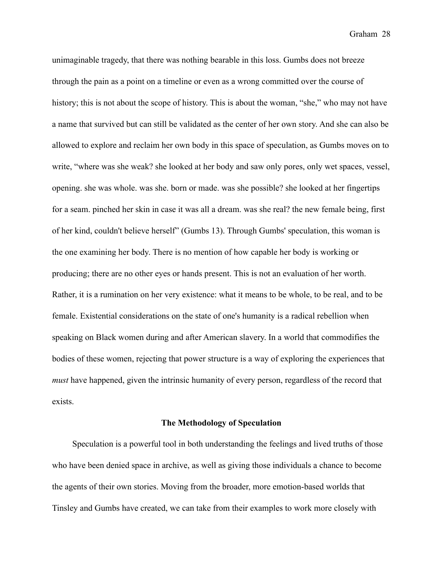unimaginable tragedy, that there was nothing bearable in this loss. Gumbs does not breeze through the pain as a point on a timeline or even as a wrong committed over the course of history; this is not about the scope of history. This is about the woman, "she," who may not have a name that survived but can still be validated as the center of her own story. And she can also be allowed to explore and reclaim her own body in this space of speculation, as Gumbs moves on to write, "where was she weak? she looked at her body and saw only pores, only wet spaces, vessel, opening. she was whole. was she. born or made. was she possible? she looked at her fingertips for a seam. pinched her skin in case it was all a dream. was she real? the new female being, first of her kind, couldn't believe herself" (Gumbs 13). Through Gumbs' speculation, this woman is the one examining her body. There is no mention of how capable her body is working or producing; there are no other eyes or hands present. This is not an evaluation of her worth. Rather, it is a rumination on her very existence: what it means to be whole, to be real, and to be female. Existential considerations on the state of one's humanity is a radical rebellion when speaking on Black women during and after American slavery. In a world that commodifies the bodies of these women, rejecting that power structure is a way of exploring the experiences that *must* have happened, given the intrinsic humanity of every person, regardless of the record that exists.

#### **The Methodology of Speculation**

 Speculation is a powerful tool in both understanding the feelings and lived truths of those who have been denied space in archive, as well as giving those individuals a chance to become the agents of their own stories. Moving from the broader, more emotion-based worlds that Tinsley and Gumbs have created, we can take from their examples to work more closely with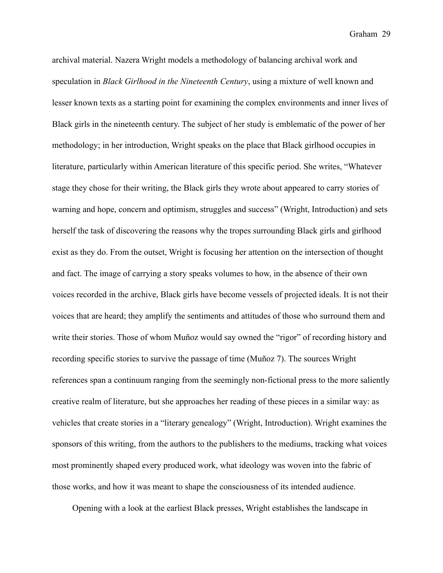archival material. Nazera Wright models a methodology of balancing archival work and speculation in *Black Girlhood in the Nineteenth Century*, using a mixture of well known and lesser known texts as a starting point for examining the complex environments and inner lives of Black girls in the nineteenth century. The subject of her study is emblematic of the power of her methodology; in her introduction, Wright speaks on the place that Black girlhood occupies in literature, particularly within American literature of this specific period. She writes, "Whatever stage they chose for their writing, the Black girls they wrote about appeared to carry stories of warning and hope, concern and optimism, struggles and success" (Wright, Introduction) and sets herself the task of discovering the reasons why the tropes surrounding Black girls and girlhood exist as they do. From the outset, Wright is focusing her attention on the intersection of thought and fact. The image of carrying a story speaks volumes to how, in the absence of their own voices recorded in the archive, Black girls have become vessels of projected ideals. It is not their voices that are heard; they amplify the sentiments and attitudes of those who surround them and write their stories. Those of whom Muñoz would say owned the "rigor" of recording history and recording specific stories to survive the passage of time (Muñoz 7). The sources Wright references span a continuum ranging from the seemingly non-fictional press to the more saliently creative realm of literature, but she approaches her reading of these pieces in a similar way: as vehicles that create stories in a "literary genealogy" (Wright, Introduction). Wright examines the sponsors of this writing, from the authors to the publishers to the mediums, tracking what voices most prominently shaped every produced work, what ideology was woven into the fabric of those works, and how it was meant to shape the consciousness of its intended audience.

Opening with a look at the earliest Black presses, Wright establishes the landscape in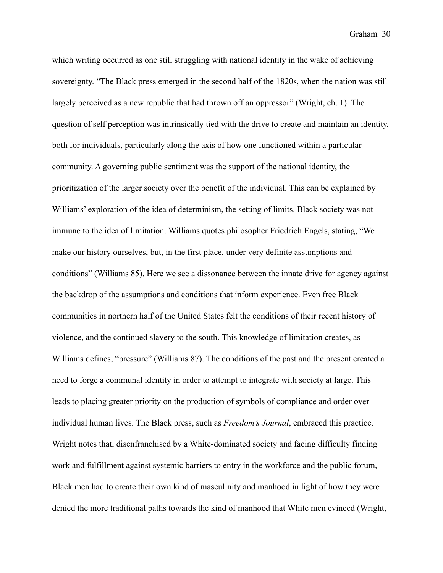which writing occurred as one still struggling with national identity in the wake of achieving sovereignty. "The Black press emerged in the second half of the 1820s, when the nation was still largely perceived as a new republic that had thrown off an oppressor" (Wright, ch. 1). The question of self perception was intrinsically tied with the drive to create and maintain an identity, both for individuals, particularly along the axis of how one functioned within a particular community. A governing public sentiment was the support of the national identity, the prioritization of the larger society over the benefit of the individual. This can be explained by Williams' exploration of the idea of determinism, the setting of limits. Black society was not immune to the idea of limitation. Williams quotes philosopher Friedrich Engels, stating, "We make our history ourselves, but, in the first place, under very definite assumptions and conditions" (Williams 85). Here we see a dissonance between the innate drive for agency against the backdrop of the assumptions and conditions that inform experience. Even free Black communities in northern half of the United States felt the conditions of their recent history of violence, and the continued slavery to the south. This knowledge of limitation creates, as Williams defines, "pressure" (Williams 87). The conditions of the past and the present created a need to forge a communal identity in order to attempt to integrate with society at large. This leads to placing greater priority on the production of symbols of compliance and order over individual human lives. The Black press, such as *Freedom's Journal*, embraced this practice. Wright notes that, disenfranchised by a White-dominated society and facing difficulty finding work and fulfillment against systemic barriers to entry in the workforce and the public forum, Black men had to create their own kind of masculinity and manhood in light of how they were denied the more traditional paths towards the kind of manhood that White men evinced (Wright,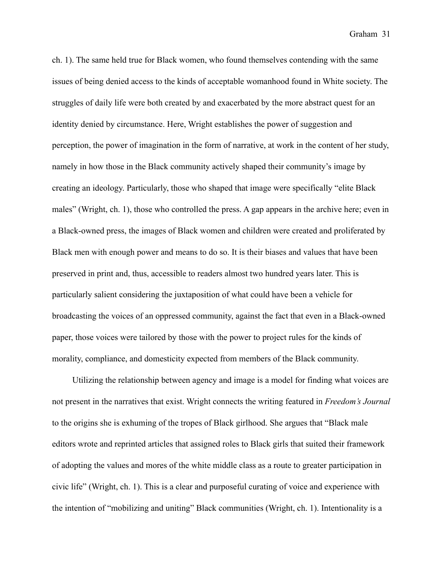ch. 1). The same held true for Black women, who found themselves contending with the same issues of being denied access to the kinds of acceptable womanhood found in White society. The struggles of daily life were both created by and exacerbated by the more abstract quest for an identity denied by circumstance. Here, Wright establishes the power of suggestion and perception, the power of imagination in the form of narrative, at work in the content of her study, namely in how those in the Black community actively shaped their community's image by creating an ideology. Particularly, those who shaped that image were specifically "elite Black males" (Wright, ch. 1), those who controlled the press. A gap appears in the archive here; even in a Black-owned press, the images of Black women and children were created and proliferated by Black men with enough power and means to do so. It is their biases and values that have been preserved in print and, thus, accessible to readers almost two hundred years later. This is particularly salient considering the juxtaposition of what could have been a vehicle for broadcasting the voices of an oppressed community, against the fact that even in a Black-owned paper, those voices were tailored by those with the power to project rules for the kinds of morality, compliance, and domesticity expected from members of the Black community.

 Utilizing the relationship between agency and image is a model for finding what voices are not present in the narratives that exist. Wright connects the writing featured in *Freedom's Journal* to the origins she is exhuming of the tropes of Black girlhood. She argues that "Black male editors wrote and reprinted articles that assigned roles to Black girls that suited their framework of adopting the values and mores of the white middle class as a route to greater participation in civic life" (Wright, ch. 1). This is a clear and purposeful curating of voice and experience with the intention of "mobilizing and uniting" Black communities (Wright, ch. 1). Intentionality is a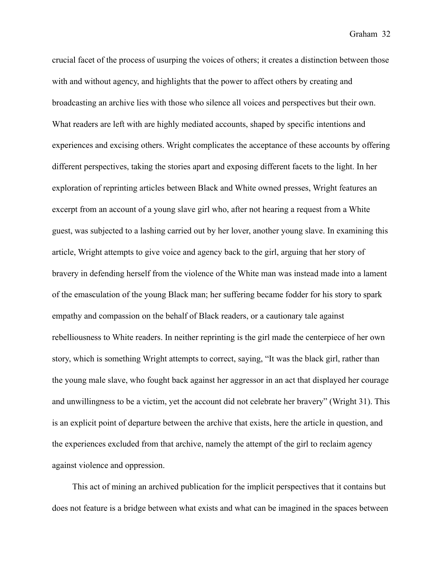crucial facet of the process of usurping the voices of others; it creates a distinction between those with and without agency, and highlights that the power to affect others by creating and broadcasting an archive lies with those who silence all voices and perspectives but their own. What readers are left with are highly mediated accounts, shaped by specific intentions and experiences and excising others. Wright complicates the acceptance of these accounts by offering different perspectives, taking the stories apart and exposing different facets to the light. In her exploration of reprinting articles between Black and White owned presses, Wright features an excerpt from an account of a young slave girl who, after not hearing a request from a White guest, was subjected to a lashing carried out by her lover, another young slave. In examining this article, Wright attempts to give voice and agency back to the girl, arguing that her story of bravery in defending herself from the violence of the White man was instead made into a lament of the emasculation of the young Black man; her suffering became fodder for his story to spark empathy and compassion on the behalf of Black readers, or a cautionary tale against rebelliousness to White readers. In neither reprinting is the girl made the centerpiece of her own story, which is something Wright attempts to correct, saying, "It was the black girl, rather than the young male slave, who fought back against her aggressor in an act that displayed her courage and unwillingness to be a victim, yet the account did not celebrate her bravery" (Wright 31). This is an explicit point of departure between the archive that exists, here the article in question, and the experiences excluded from that archive, namely the attempt of the girl to reclaim agency against violence and oppression.

 This act of mining an archived publication for the implicit perspectives that it contains but does not feature is a bridge between what exists and what can be imagined in the spaces between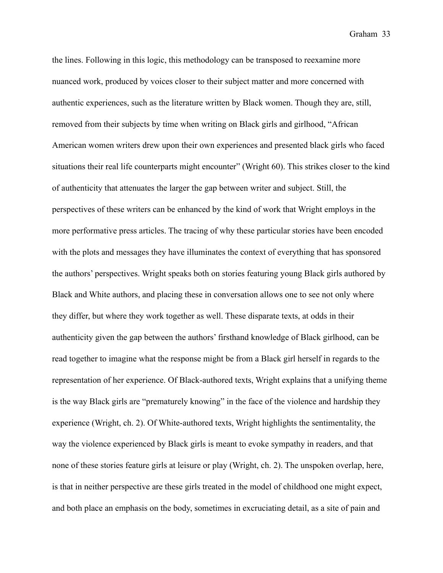the lines. Following in this logic, this methodology can be transposed to reexamine more nuanced work, produced by voices closer to their subject matter and more concerned with authentic experiences, such as the literature written by Black women. Though they are, still, removed from their subjects by time when writing on Black girls and girlhood, "African American women writers drew upon their own experiences and presented black girls who faced situations their real life counterparts might encounter" (Wright 60). This strikes closer to the kind of authenticity that attenuates the larger the gap between writer and subject. Still, the perspectives of these writers can be enhanced by the kind of work that Wright employs in the more performative press articles. The tracing of why these particular stories have been encoded with the plots and messages they have illuminates the context of everything that has sponsored the authors' perspectives. Wright speaks both on stories featuring young Black girls authored by Black and White authors, and placing these in conversation allows one to see not only where they differ, but where they work together as well. These disparate texts, at odds in their authenticity given the gap between the authors' firsthand knowledge of Black girlhood, can be read together to imagine what the response might be from a Black girl herself in regards to the representation of her experience. Of Black-authored texts, Wright explains that a unifying theme is the way Black girls are "prematurely knowing" in the face of the violence and hardship they experience (Wright, ch. 2). Of White-authored texts, Wright highlights the sentimentality, the way the violence experienced by Black girls is meant to evoke sympathy in readers, and that none of these stories feature girls at leisure or play (Wright, ch. 2). The unspoken overlap, here, is that in neither perspective are these girls treated in the model of childhood one might expect, and both place an emphasis on the body, sometimes in excruciating detail, as a site of pain and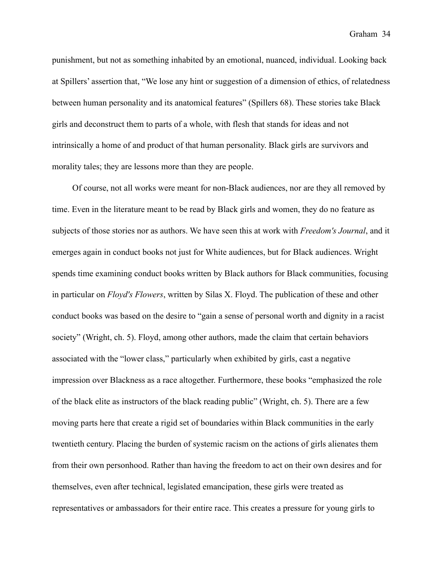punishment, but not as something inhabited by an emotional, nuanced, individual. Looking back at Spillers' assertion that, "We lose any hint or suggestion of a dimension of ethics, of relatedness between human personality and its anatomical features" (Spillers 68). These stories take Black girls and deconstruct them to parts of a whole, with flesh that stands for ideas and not intrinsically a home of and product of that human personality. Black girls are survivors and morality tales; they are lessons more than they are people.

 Of course, not all works were meant for non-Black audiences, nor are they all removed by time. Even in the literature meant to be read by Black girls and women, they do no feature as subjects of those stories nor as authors. We have seen this at work with *Freedom's Journal*, and it emerges again in conduct books not just for White audiences, but for Black audiences. Wright spends time examining conduct books written by Black authors for Black communities, focusing in particular on *Floyd's Flowers*, written by Silas X. Floyd. The publication of these and other conduct books was based on the desire to "gain a sense of personal worth and dignity in a racist society" (Wright, ch. 5). Floyd, among other authors, made the claim that certain behaviors associated with the "lower class," particularly when exhibited by girls, cast a negative impression over Blackness as a race altogether. Furthermore, these books "emphasized the role of the black elite as instructors of the black reading public" (Wright, ch. 5). There are a few moving parts here that create a rigid set of boundaries within Black communities in the early twentieth century. Placing the burden of systemic racism on the actions of girls alienates them from their own personhood. Rather than having the freedom to act on their own desires and for themselves, even after technical, legislated emancipation, these girls were treated as representatives or ambassadors for their entire race. This creates a pressure for young girls to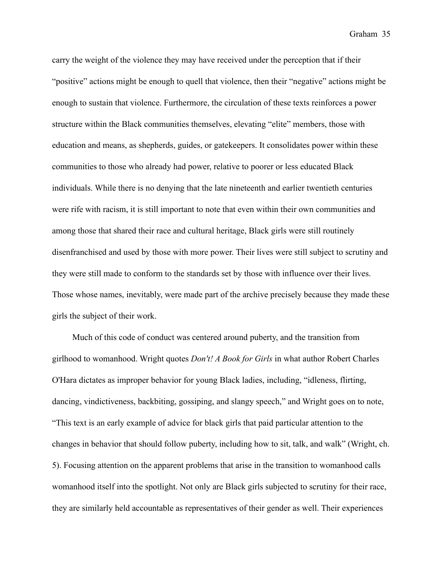carry the weight of the violence they may have received under the perception that if their "positive" actions might be enough to quell that violence, then their "negative" actions might be enough to sustain that violence. Furthermore, the circulation of these texts reinforces a power structure within the Black communities themselves, elevating "elite" members, those with education and means, as shepherds, guides, or gatekeepers. It consolidates power within these communities to those who already had power, relative to poorer or less educated Black individuals. While there is no denying that the late nineteenth and earlier twentieth centuries were rife with racism, it is still important to note that even within their own communities and among those that shared their race and cultural heritage, Black girls were still routinely disenfranchised and used by those with more power. Their lives were still subject to scrutiny and they were still made to conform to the standards set by those with influence over their lives. Those whose names, inevitably, were made part of the archive precisely because they made these girls the subject of their work.

 Much of this code of conduct was centered around puberty, and the transition from girlhood to womanhood. Wright quotes *Don't! A Book for Girls* in what author Robert Charles O'Hara dictates as improper behavior for young Black ladies, including, "idleness, flirting, dancing, vindictiveness, backbiting, gossiping, and slangy speech," and Wright goes on to note, "This text is an early example of advice for black girls that paid particular attention to the changes in behavior that should follow puberty, including how to sit, talk, and walk" (Wright, ch. 5). Focusing attention on the apparent problems that arise in the transition to womanhood calls womanhood itself into the spotlight. Not only are Black girls subjected to scrutiny for their race, they are similarly held accountable as representatives of their gender as well. Their experiences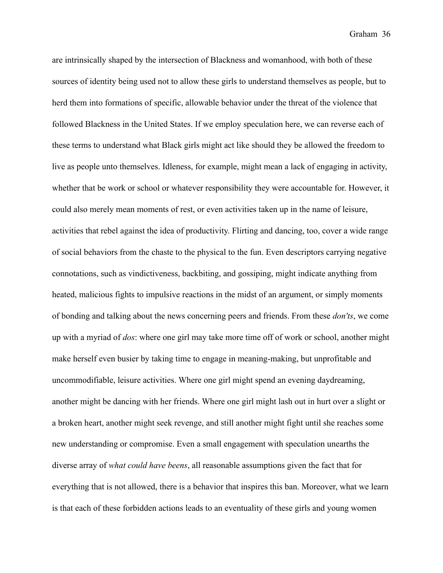are intrinsically shaped by the intersection of Blackness and womanhood, with both of these sources of identity being used not to allow these girls to understand themselves as people, but to herd them into formations of specific, allowable behavior under the threat of the violence that followed Blackness in the United States. If we employ speculation here, we can reverse each of these terms to understand what Black girls might act like should they be allowed the freedom to live as people unto themselves. Idleness, for example, might mean a lack of engaging in activity, whether that be work or school or whatever responsibility they were accountable for. However, it could also merely mean moments of rest, or even activities taken up in the name of leisure, activities that rebel against the idea of productivity. Flirting and dancing, too, cover a wide range of social behaviors from the chaste to the physical to the fun. Even descriptors carrying negative connotations, such as vindictiveness, backbiting, and gossiping, might indicate anything from heated, malicious fights to impulsive reactions in the midst of an argument, or simply moments of bonding and talking about the news concerning peers and friends. From these *don'ts*, we come up with a myriad of *dos*: where one girl may take more time off of work or school, another might make herself even busier by taking time to engage in meaning-making, but unprofitable and uncommodifiable, leisure activities. Where one girl might spend an evening daydreaming, another might be dancing with her friends. Where one girl might lash out in hurt over a slight or a broken heart, another might seek revenge, and still another might fight until she reaches some new understanding or compromise. Even a small engagement with speculation unearths the diverse array of *what could have beens*, all reasonable assumptions given the fact that for everything that is not allowed, there is a behavior that inspires this ban. Moreover, what we learn is that each of these forbidden actions leads to an eventuality of these girls and young women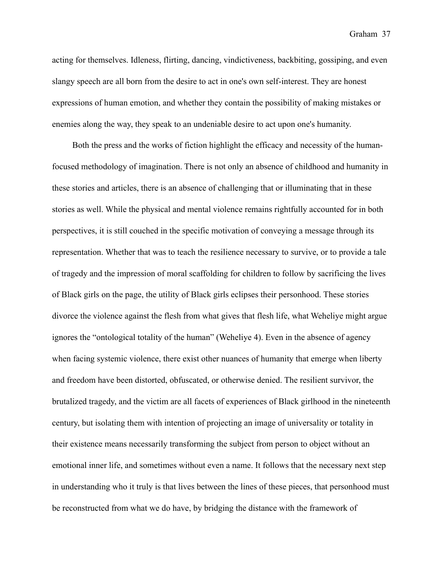acting for themselves. Idleness, flirting, dancing, vindictiveness, backbiting, gossiping, and even slangy speech are all born from the desire to act in one's own self-interest. They are honest expressions of human emotion, and whether they contain the possibility of making mistakes or enemies along the way, they speak to an undeniable desire to act upon one's humanity.

 Both the press and the works of fiction highlight the efficacy and necessity of the humanfocused methodology of imagination. There is not only an absence of childhood and humanity in these stories and articles, there is an absence of challenging that or illuminating that in these stories as well. While the physical and mental violence remains rightfully accounted for in both perspectives, it is still couched in the specific motivation of conveying a message through its representation. Whether that was to teach the resilience necessary to survive, or to provide a tale of tragedy and the impression of moral scaffolding for children to follow by sacrificing the lives of Black girls on the page, the utility of Black girls eclipses their personhood. These stories divorce the violence against the flesh from what gives that flesh life, what Weheliye might argue ignores the "ontological totality of the human" (Weheliye 4). Even in the absence of agency when facing systemic violence, there exist other nuances of humanity that emerge when liberty and freedom have been distorted, obfuscated, or otherwise denied. The resilient survivor, the brutalized tragedy, and the victim are all facets of experiences of Black girlhood in the nineteenth century, but isolating them with intention of projecting an image of universality or totality in their existence means necessarily transforming the subject from person to object without an emotional inner life, and sometimes without even a name. It follows that the necessary next step in understanding who it truly is that lives between the lines of these pieces, that personhood must be reconstructed from what we do have, by bridging the distance with the framework of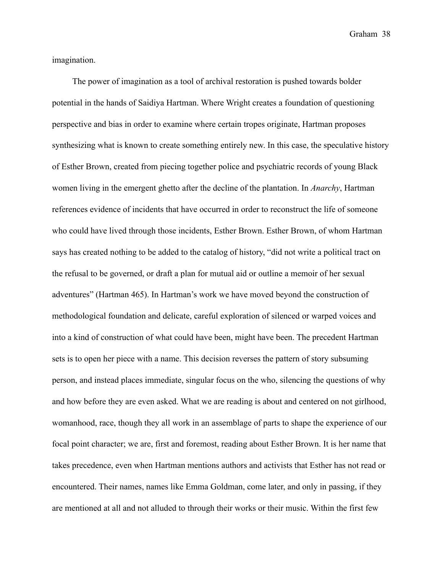imagination.

 The power of imagination as a tool of archival restoration is pushed towards bolder potential in the hands of Saidiya Hartman. Where Wright creates a foundation of questioning perspective and bias in order to examine where certain tropes originate, Hartman proposes synthesizing what is known to create something entirely new. In this case, the speculative history of Esther Brown, created from piecing together police and psychiatric records of young Black women living in the emergent ghetto after the decline of the plantation. In *Anarchy*, Hartman references evidence of incidents that have occurred in order to reconstruct the life of someone who could have lived through those incidents, Esther Brown. Esther Brown, of whom Hartman says has created nothing to be added to the catalog of history, "did not write a political tract on the refusal to be governed, or draft a plan for mutual aid or outline a memoir of her sexual adventures" (Hartman 465). In Hartman's work we have moved beyond the construction of methodological foundation and delicate, careful exploration of silenced or warped voices and into a kind of construction of what could have been, might have been. The precedent Hartman sets is to open her piece with a name. This decision reverses the pattern of story subsuming person, and instead places immediate, singular focus on the who, silencing the questions of why and how before they are even asked. What we are reading is about and centered on not girlhood, womanhood, race, though they all work in an assemblage of parts to shape the experience of our focal point character; we are, first and foremost, reading about Esther Brown. It is her name that takes precedence, even when Hartman mentions authors and activists that Esther has not read or encountered. Their names, names like Emma Goldman, come later, and only in passing, if they are mentioned at all and not alluded to through their works or their music. Within the first few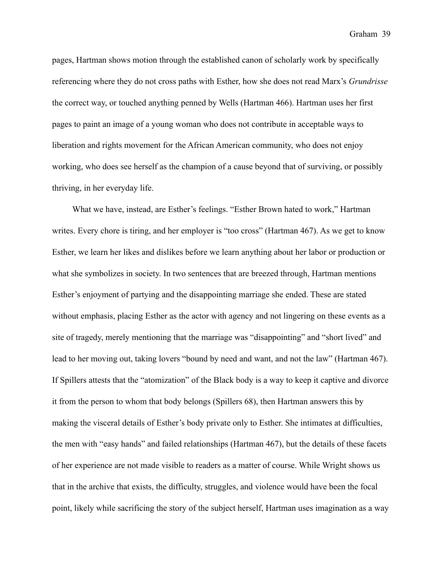pages, Hartman shows motion through the established canon of scholarly work by specifically referencing where they do not cross paths with Esther, how she does not read Marx's *Grundrisse* the correct way, or touched anything penned by Wells (Hartman 466). Hartman uses her first pages to paint an image of a young woman who does not contribute in acceptable ways to liberation and rights movement for the African American community, who does not enjoy working, who does see herself as the champion of a cause beyond that of surviving, or possibly thriving, in her everyday life.

 What we have, instead, are Esther's feelings. "Esther Brown hated to work," Hartman writes. Every chore is tiring, and her employer is "too cross" (Hartman 467). As we get to know Esther, we learn her likes and dislikes before we learn anything about her labor or production or what she symbolizes in society. In two sentences that are breezed through, Hartman mentions Esther's enjoyment of partying and the disappointing marriage she ended. These are stated without emphasis, placing Esther as the actor with agency and not lingering on these events as a site of tragedy, merely mentioning that the marriage was "disappointing" and "short lived" and lead to her moving out, taking lovers "bound by need and want, and not the law" (Hartman 467). If Spillers attests that the "atomization" of the Black body is a way to keep it captive and divorce it from the person to whom that body belongs (Spillers 68), then Hartman answers this by making the visceral details of Esther's body private only to Esther. She intimates at difficulties, the men with "easy hands" and failed relationships (Hartman 467), but the details of these facets of her experience are not made visible to readers as a matter of course. While Wright shows us that in the archive that exists, the difficulty, struggles, and violence would have been the focal point, likely while sacrificing the story of the subject herself, Hartman uses imagination as a way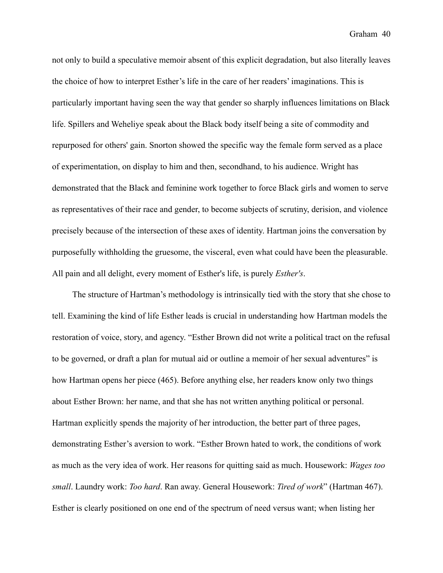not only to build a speculative memoir absent of this explicit degradation, but also literally leaves the choice of how to interpret Esther's life in the care of her readers' imaginations. This is particularly important having seen the way that gender so sharply influences limitations on Black life. Spillers and Weheliye speak about the Black body itself being a site of commodity and repurposed for others' gain. Snorton showed the specific way the female form served as a place of experimentation, on display to him and then, secondhand, to his audience. Wright has demonstrated that the Black and feminine work together to force Black girls and women to serve as representatives of their race and gender, to become subjects of scrutiny, derision, and violence precisely because of the intersection of these axes of identity. Hartman joins the conversation by purposefully withholding the gruesome, the visceral, even what could have been the pleasurable. All pain and all delight, every moment of Esther's life, is purely *Esther's*.

 The structure of Hartman's methodology is intrinsically tied with the story that she chose to tell. Examining the kind of life Esther leads is crucial in understanding how Hartman models the restoration of voice, story, and agency. "Esther Brown did not write a political tract on the refusal to be governed, or draft a plan for mutual aid or outline a memoir of her sexual adventures" is how Hartman opens her piece (465). Before anything else, her readers know only two things about Esther Brown: her name, and that she has not written anything political or personal. Hartman explicitly spends the majority of her introduction, the better part of three pages, demonstrating Esther's aversion to work. "Esther Brown hated to work, the conditions of work as much as the very idea of work. Her reasons for quitting said as much. Housework: *Wages too small*. Laundry work: *Too hard*. Ran away. General Housework: *Tired of work*" (Hartman 467). Esther is clearly positioned on one end of the spectrum of need versus want; when listing her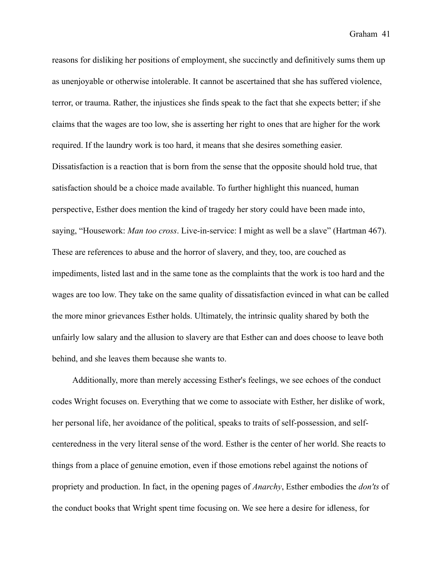reasons for disliking her positions of employment, she succinctly and definitively sums them up as unenjoyable or otherwise intolerable. It cannot be ascertained that she has suffered violence, terror, or trauma. Rather, the injustices she finds speak to the fact that she expects better; if she claims that the wages are too low, she is asserting her right to ones that are higher for the work required. If the laundry work is too hard, it means that she desires something easier. Dissatisfaction is a reaction that is born from the sense that the opposite should hold true, that satisfaction should be a choice made available. To further highlight this nuanced, human perspective, Esther does mention the kind of tragedy her story could have been made into, saying, "Housework: *Man too cross*. Live-in-service: I might as well be a slave" (Hartman 467). These are references to abuse and the horror of slavery, and they, too, are couched as impediments, listed last and in the same tone as the complaints that the work is too hard and the wages are too low. They take on the same quality of dissatisfaction evinced in what can be called the more minor grievances Esther holds. Ultimately, the intrinsic quality shared by both the unfairly low salary and the allusion to slavery are that Esther can and does choose to leave both behind, and she leaves them because she wants to.

 Additionally, more than merely accessing Esther's feelings, we see echoes of the conduct codes Wright focuses on. Everything that we come to associate with Esther, her dislike of work, her personal life, her avoidance of the political, speaks to traits of self-possession, and selfcenteredness in the very literal sense of the word. Esther is the center of her world. She reacts to things from a place of genuine emotion, even if those emotions rebel against the notions of propriety and production. In fact, in the opening pages of *Anarchy*, Esther embodies the *don'ts* of the conduct books that Wright spent time focusing on. We see here a desire for idleness, for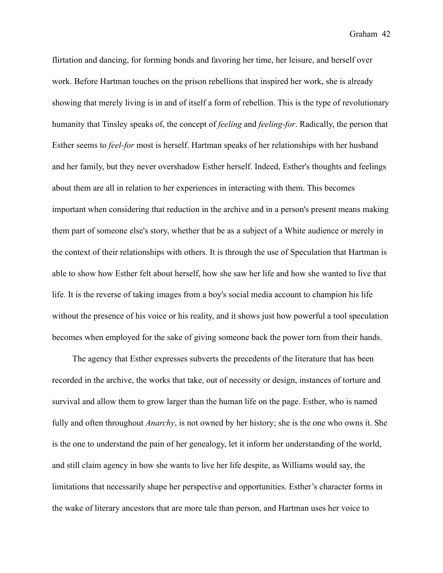flirtation and dancing, for forming bonds and favoring her time, her leisure, and herself over work. Before Hartman touches on the prison rebellions that inspired her work, she is already showing that merely living is in and of itself a form of rebellion. This is the type of revolutionary humanity that Tinsley speaks of, the concept of *feeling* and *feeling-for*. Radically, the person that Esther seems to *feel-for* most is herself. Hartman speaks of her relationships with her husband and her family, but they never overshadow Esther herself. Indeed, Esther's thoughts and feelings about them are all in relation to her experiences in interacting with them. This becomes important when considering that reduction in the archive and in a person's present means making them part of someone else's story, whether that be as a subject of a White audience or merely in the context of their relationships with others. It is through the use of Speculation that Hartman is able to show how Esther felt about herself, how she saw her life and how she wanted to live that life. It is the reverse of taking images from a boy's social media account to champion his life without the presence of his voice or his reality, and it shows just how powerful a tool speculation becomes when employed for the sake of giving someone back the power torn from their hands.

 The agency that Esther expresses subverts the precedents of the literature that has been recorded in the archive, the works that take, out of necessity or design, instances of torture and survival and allow them to grow larger than the human life on the page. Esther, who is named fully and often throughout *Anarchy*, is not owned by her history; she is the one who owns it. She is the one to understand the pain of her genealogy, let it inform her understanding of the world, and still claim agency in how she wants to live her life despite, as Williams would say, the limitations that necessarily shape her perspective and opportunities. Esther's character forms in the wake of literary ancestors that are more tale than person, and Hartman uses her voice to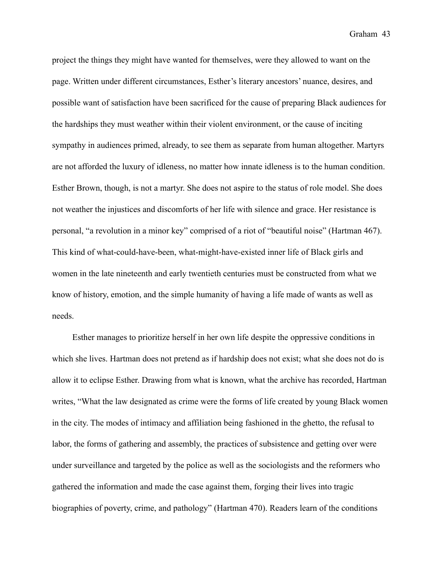project the things they might have wanted for themselves, were they allowed to want on the page. Written under different circumstances, Esther's literary ancestors' nuance, desires, and possible want of satisfaction have been sacrificed for the cause of preparing Black audiences for the hardships they must weather within their violent environment, or the cause of inciting sympathy in audiences primed, already, to see them as separate from human altogether. Martyrs are not afforded the luxury of idleness, no matter how innate idleness is to the human condition. Esther Brown, though, is not a martyr. She does not aspire to the status of role model. She does not weather the injustices and discomforts of her life with silence and grace. Her resistance is personal, "a revolution in a minor key" comprised of a riot of "beautiful noise" (Hartman 467). This kind of what-could-have-been, what-might-have-existed inner life of Black girls and women in the late nineteenth and early twentieth centuries must be constructed from what we know of history, emotion, and the simple humanity of having a life made of wants as well as needs.

 Esther manages to prioritize herself in her own life despite the oppressive conditions in which she lives. Hartman does not pretend as if hardship does not exist; what she does not do is allow it to eclipse Esther. Drawing from what is known, what the archive has recorded, Hartman writes, "What the law designated as crime were the forms of life created by young Black women in the city. The modes of intimacy and affiliation being fashioned in the ghetto, the refusal to labor, the forms of gathering and assembly, the practices of subsistence and getting over were under surveillance and targeted by the police as well as the sociologists and the reformers who gathered the information and made the case against them, forging their lives into tragic biographies of poverty, crime, and pathology" (Hartman 470). Readers learn of the conditions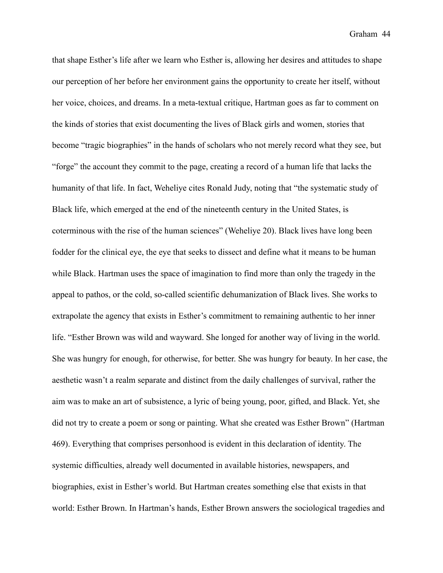that shape Esther's life after we learn who Esther is, allowing her desires and attitudes to shape our perception of her before her environment gains the opportunity to create her itself, without her voice, choices, and dreams. In a meta-textual critique, Hartman goes as far to comment on the kinds of stories that exist documenting the lives of Black girls and women, stories that become "tragic biographies" in the hands of scholars who not merely record what they see, but "forge" the account they commit to the page, creating a record of a human life that lacks the humanity of that life. In fact, Weheliye cites Ronald Judy, noting that "the systematic study of Black life, which emerged at the end of the nineteenth century in the United States, is coterminous with the rise of the human sciences" (Weheliye 20). Black lives have long been fodder for the clinical eye, the eye that seeks to dissect and define what it means to be human while Black. Hartman uses the space of imagination to find more than only the tragedy in the appeal to pathos, or the cold, so-called scientific dehumanization of Black lives. She works to extrapolate the agency that exists in Esther's commitment to remaining authentic to her inner life. "Esther Brown was wild and wayward. She longed for another way of living in the world. She was hungry for enough, for otherwise, for better. She was hungry for beauty. In her case, the aesthetic wasn't a realm separate and distinct from the daily challenges of survival, rather the aim was to make an art of subsistence, a lyric of being young, poor, gifted, and Black. Yet, she did not try to create a poem or song or painting. What she created was Esther Brown" (Hartman 469). Everything that comprises personhood is evident in this declaration of identity. The systemic difficulties, already well documented in available histories, newspapers, and biographies, exist in Esther's world. But Hartman creates something else that exists in that world: Esther Brown. In Hartman's hands, Esther Brown answers the sociological tragedies and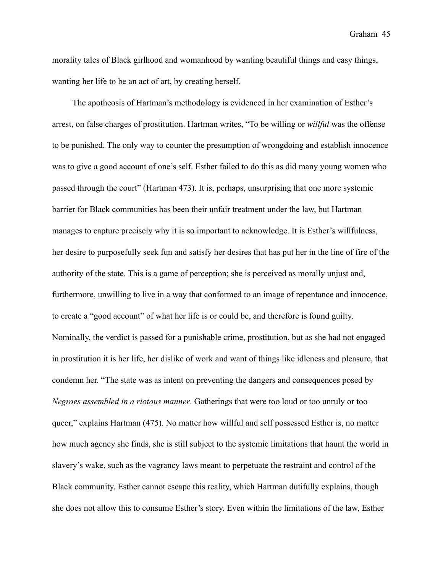morality tales of Black girlhood and womanhood by wanting beautiful things and easy things, wanting her life to be an act of art, by creating herself.

 The apotheosis of Hartman's methodology is evidenced in her examination of Esther's arrest, on false charges of prostitution. Hartman writes, "To be willing or *willful* was the offense to be punished. The only way to counter the presumption of wrongdoing and establish innocence was to give a good account of one's self. Esther failed to do this as did many young women who passed through the court" (Hartman 473). It is, perhaps, unsurprising that one more systemic barrier for Black communities has been their unfair treatment under the law, but Hartman manages to capture precisely why it is so important to acknowledge. It is Esther's willfulness, her desire to purposefully seek fun and satisfy her desires that has put her in the line of fire of the authority of the state. This is a game of perception; she is perceived as morally unjust and, furthermore, unwilling to live in a way that conformed to an image of repentance and innocence, to create a "good account" of what her life is or could be, and therefore is found guilty. Nominally, the verdict is passed for a punishable crime, prostitution, but as she had not engaged in prostitution it is her life, her dislike of work and want of things like idleness and pleasure, that condemn her. "The state was as intent on preventing the dangers and consequences posed by *Negroes assembled in a riotous manner*. Gatherings that were too loud or too unruly or too queer," explains Hartman (475). No matter how willful and self possessed Esther is, no matter how much agency she finds, she is still subject to the systemic limitations that haunt the world in slavery's wake, such as the vagrancy laws meant to perpetuate the restraint and control of the Black community. Esther cannot escape this reality, which Hartman dutifully explains, though she does not allow this to consume Esther's story. Even within the limitations of the law, Esther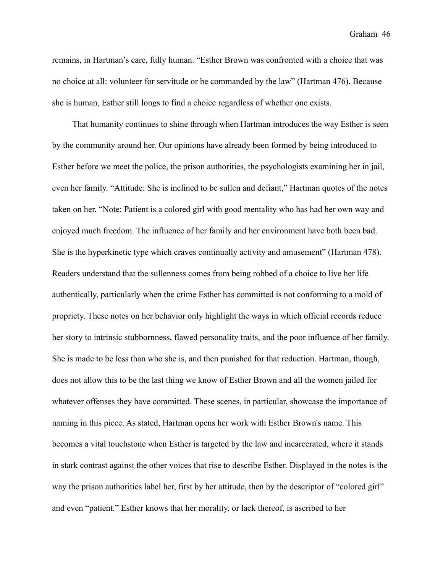remains, in Hartman's care, fully human. "Esther Brown was confronted with a choice that was no choice at all: volunteer for servitude or be commanded by the law" (Hartman 476). Because she is human, Esther still longs to find a choice regardless of whether one exists.

 That humanity continues to shine through when Hartman introduces the way Esther is seen by the community around her. Our opinions have already been formed by being introduced to Esther before we meet the police, the prison authorities, the psychologists examining her in jail, even her family. "Attitude: She is inclined to be sullen and defiant," Hartman quotes of the notes taken on her. "Note: Patient is a colored girl with good mentality who has had her own way and enjoyed much freedom. The influence of her family and her environment have both been bad. She is the hyperkinetic type which craves continually activity and amusement" (Hartman 478). Readers understand that the sullenness comes from being robbed of a choice to live her life authentically, particularly when the crime Esther has committed is not conforming to a mold of propriety. These notes on her behavior only highlight the ways in which official records reduce her story to intrinsic stubbornness, flawed personality traits, and the poor influence of her family. She is made to be less than who she is, and then punished for that reduction. Hartman, though, does not allow this to be the last thing we know of Esther Brown and all the women jailed for whatever offenses they have committed. These scenes, in particular, showcase the importance of naming in this piece. As stated, Hartman opens her work with Esther Brown's name. This becomes a vital touchstone when Esther is targeted by the law and incarcerated, where it stands in stark contrast against the other voices that rise to describe Esther. Displayed in the notes is the way the prison authorities label her, first by her attitude, then by the descriptor of "colored girl" and even "patient." Esther knows that her morality, or lack thereof, is ascribed to her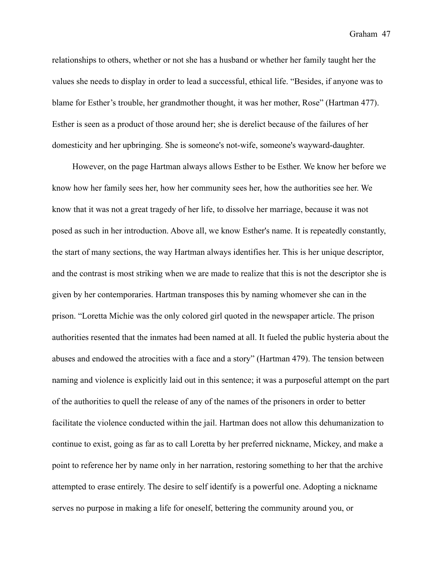relationships to others, whether or not she has a husband or whether her family taught her the values she needs to display in order to lead a successful, ethical life. "Besides, if anyone was to blame for Esther's trouble, her grandmother thought, it was her mother, Rose" (Hartman 477). Esther is seen as a product of those around her; she is derelict because of the failures of her domesticity and her upbringing. She is someone's not-wife, someone's wayward-daughter.

 However, on the page Hartman always allows Esther to be Esther. We know her before we know how her family sees her, how her community sees her, how the authorities see her. We know that it was not a great tragedy of her life, to dissolve her marriage, because it was not posed as such in her introduction. Above all, we know Esther's name. It is repeatedly constantly, the start of many sections, the way Hartman always identifies her. This is her unique descriptor, and the contrast is most striking when we are made to realize that this is not the descriptor she is given by her contemporaries. Hartman transposes this by naming whomever she can in the prison. "Loretta Michie was the only colored girl quoted in the newspaper article. The prison authorities resented that the inmates had been named at all. It fueled the public hysteria about the abuses and endowed the atrocities with a face and a story" (Hartman 479). The tension between naming and violence is explicitly laid out in this sentence; it was a purposeful attempt on the part of the authorities to quell the release of any of the names of the prisoners in order to better facilitate the violence conducted within the jail. Hartman does not allow this dehumanization to continue to exist, going as far as to call Loretta by her preferred nickname, Mickey, and make a point to reference her by name only in her narration, restoring something to her that the archive attempted to erase entirely. The desire to self identify is a powerful one. Adopting a nickname serves no purpose in making a life for oneself, bettering the community around you, or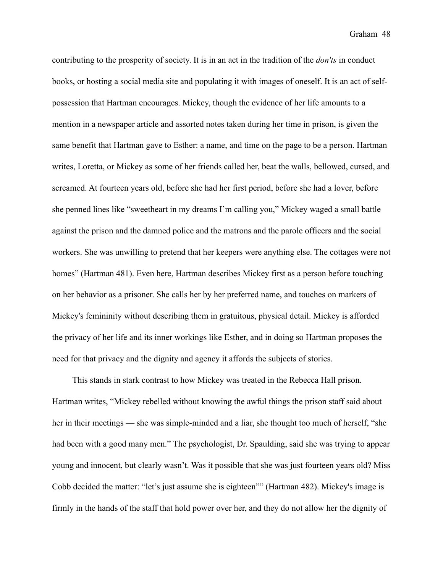contributing to the prosperity of society. It is in an act in the tradition of the *don'ts* in conduct books, or hosting a social media site and populating it with images of oneself. It is an act of selfpossession that Hartman encourages. Mickey, though the evidence of her life amounts to a mention in a newspaper article and assorted notes taken during her time in prison, is given the same benefit that Hartman gave to Esther: a name, and time on the page to be a person. Hartman writes, Loretta, or Mickey as some of her friends called her, beat the walls, bellowed, cursed, and screamed. At fourteen years old, before she had her first period, before she had a lover, before she penned lines like "sweetheart in my dreams I'm calling you," Mickey waged a small battle against the prison and the damned police and the matrons and the parole officers and the social workers. She was unwilling to pretend that her keepers were anything else. The cottages were not homes" (Hartman 481). Even here, Hartman describes Mickey first as a person before touching on her behavior as a prisoner. She calls her by her preferred name, and touches on markers of Mickey's femininity without describing them in gratuitous, physical detail. Mickey is afforded the privacy of her life and its inner workings like Esther, and in doing so Hartman proposes the need for that privacy and the dignity and agency it affords the subjects of stories.

 This stands in stark contrast to how Mickey was treated in the Rebecca Hall prison. Hartman writes, "Mickey rebelled without knowing the awful things the prison staff said about her in their meetings — she was simple-minded and a liar, she thought too much of herself, "she had been with a good many men." The psychologist, Dr. Spaulding, said she was trying to appear young and innocent, but clearly wasn't. Was it possible that she was just fourteen years old? Miss Cobb decided the matter: "let's just assume she is eighteen"" (Hartman 482). Mickey's image is firmly in the hands of the staff that hold power over her, and they do not allow her the dignity of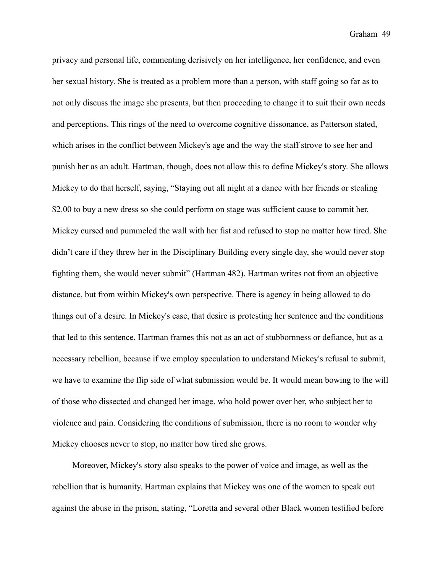privacy and personal life, commenting derisively on her intelligence, her confidence, and even her sexual history. She is treated as a problem more than a person, with staff going so far as to not only discuss the image she presents, but then proceeding to change it to suit their own needs and perceptions. This rings of the need to overcome cognitive dissonance, as Patterson stated, which arises in the conflict between Mickey's age and the way the staff strove to see her and punish her as an adult. Hartman, though, does not allow this to define Mickey's story. She allows Mickey to do that herself, saying, "Staying out all night at a dance with her friends or stealing \$2.00 to buy a new dress so she could perform on stage was sufficient cause to commit her. Mickey cursed and pummeled the wall with her fist and refused to stop no matter how tired. She didn't care if they threw her in the Disciplinary Building every single day, she would never stop fighting them, she would never submit" (Hartman 482). Hartman writes not from an objective distance, but from within Mickey's own perspective. There is agency in being allowed to do things out of a desire. In Mickey's case, that desire is protesting her sentence and the conditions that led to this sentence. Hartman frames this not as an act of stubbornness or defiance, but as a necessary rebellion, because if we employ speculation to understand Mickey's refusal to submit, we have to examine the flip side of what submission would be. It would mean bowing to the will of those who dissected and changed her image, who hold power over her, who subject her to violence and pain. Considering the conditions of submission, there is no room to wonder why Mickey chooses never to stop, no matter how tired she grows.

 Moreover, Mickey's story also speaks to the power of voice and image, as well as the rebellion that is humanity. Hartman explains that Mickey was one of the women to speak out against the abuse in the prison, stating, "Loretta and several other Black women testified before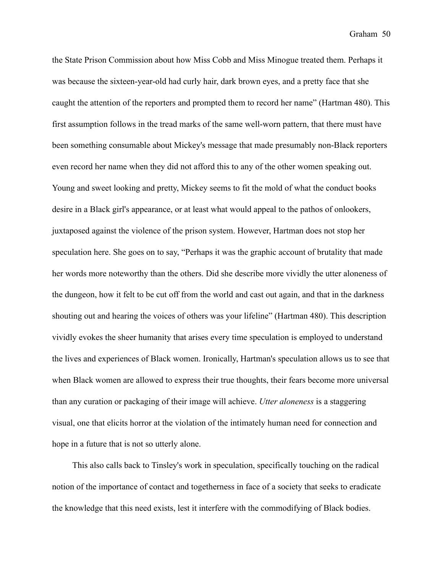the State Prison Commission about how Miss Cobb and Miss Minogue treated them. Perhaps it was because the sixteen-year-old had curly hair, dark brown eyes, and a pretty face that she caught the attention of the reporters and prompted them to record her name" (Hartman 480). This first assumption follows in the tread marks of the same well-worn pattern, that there must have been something consumable about Mickey's message that made presumably non-Black reporters even record her name when they did not afford this to any of the other women speaking out. Young and sweet looking and pretty, Mickey seems to fit the mold of what the conduct books desire in a Black girl's appearance, or at least what would appeal to the pathos of onlookers, juxtaposed against the violence of the prison system. However, Hartman does not stop her speculation here. She goes on to say, "Perhaps it was the graphic account of brutality that made her words more noteworthy than the others. Did she describe more vividly the utter aloneness of the dungeon, how it felt to be cut off from the world and cast out again, and that in the darkness shouting out and hearing the voices of others was your lifeline" (Hartman 480). This description vividly evokes the sheer humanity that arises every time speculation is employed to understand the lives and experiences of Black women. Ironically, Hartman's speculation allows us to see that when Black women are allowed to express their true thoughts, their fears become more universal than any curation or packaging of their image will achieve. *Utter aloneness* is a staggering visual, one that elicits horror at the violation of the intimately human need for connection and hope in a future that is not so utterly alone.

 This also calls back to Tinsley's work in speculation, specifically touching on the radical notion of the importance of contact and togetherness in face of a society that seeks to eradicate the knowledge that this need exists, lest it interfere with the commodifying of Black bodies.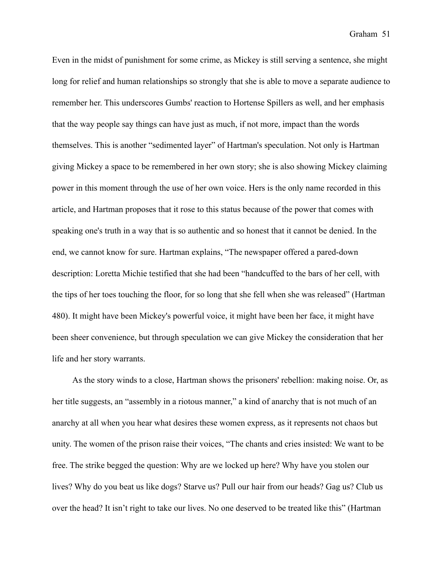Even in the midst of punishment for some crime, as Mickey is still serving a sentence, she might long for relief and human relationships so strongly that she is able to move a separate audience to remember her. This underscores Gumbs' reaction to Hortense Spillers as well, and her emphasis that the way people say things can have just as much, if not more, impact than the words themselves. This is another "sedimented layer" of Hartman's speculation. Not only is Hartman giving Mickey a space to be remembered in her own story; she is also showing Mickey claiming power in this moment through the use of her own voice. Hers is the only name recorded in this article, and Hartman proposes that it rose to this status because of the power that comes with speaking one's truth in a way that is so authentic and so honest that it cannot be denied. In the end, we cannot know for sure. Hartman explains, "The newspaper offered a pared-down description: Loretta Michie testified that she had been "handcuffed to the bars of her cell, with the tips of her toes touching the floor, for so long that she fell when she was released" (Hartman 480). It might have been Mickey's powerful voice, it might have been her face, it might have been sheer convenience, but through speculation we can give Mickey the consideration that her life and her story warrants.

 As the story winds to a close, Hartman shows the prisoners' rebellion: making noise. Or, as her title suggests, an "assembly in a riotous manner," a kind of anarchy that is not much of an anarchy at all when you hear what desires these women express, as it represents not chaos but unity. The women of the prison raise their voices, "The chants and cries insisted: We want to be free. The strike begged the question: Why are we locked up here? Why have you stolen our lives? Why do you beat us like dogs? Starve us? Pull our hair from our heads? Gag us? Club us over the head? It isn't right to take our lives. No one deserved to be treated like this" (Hartman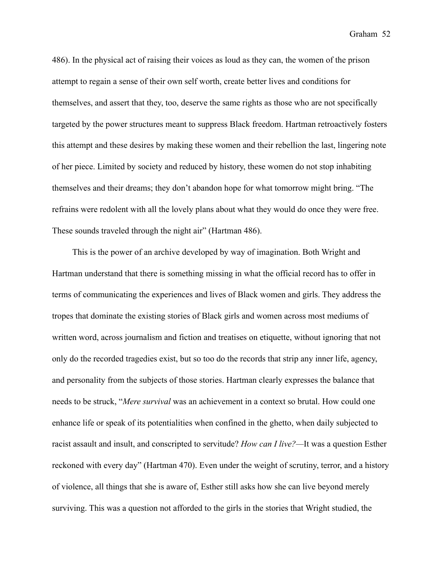486). In the physical act of raising their voices as loud as they can, the women of the prison attempt to regain a sense of their own self worth, create better lives and conditions for themselves, and assert that they, too, deserve the same rights as those who are not specifically targeted by the power structures meant to suppress Black freedom. Hartman retroactively fosters this attempt and these desires by making these women and their rebellion the last, lingering note of her piece. Limited by society and reduced by history, these women do not stop inhabiting themselves and their dreams; they don't abandon hope for what tomorrow might bring. "The refrains were redolent with all the lovely plans about what they would do once they were free. These sounds traveled through the night air" (Hartman 486).

 This is the power of an archive developed by way of imagination. Both Wright and Hartman understand that there is something missing in what the official record has to offer in terms of communicating the experiences and lives of Black women and girls. They address the tropes that dominate the existing stories of Black girls and women across most mediums of written word, across journalism and fiction and treatises on etiquette, without ignoring that not only do the recorded tragedies exist, but so too do the records that strip any inner life, agency, and personality from the subjects of those stories. Hartman clearly expresses the balance that needs to be struck, "*Mere survival* was an achievement in a context so brutal. How could one enhance life or speak of its potentialities when confined in the ghetto, when daily subjected to racist assault and insult, and conscripted to servitude? *How can I live?—*It was a question Esther reckoned with every day" (Hartman 470). Even under the weight of scrutiny, terror, and a history of violence, all things that she is aware of, Esther still asks how she can live beyond merely surviving. This was a question not afforded to the girls in the stories that Wright studied, the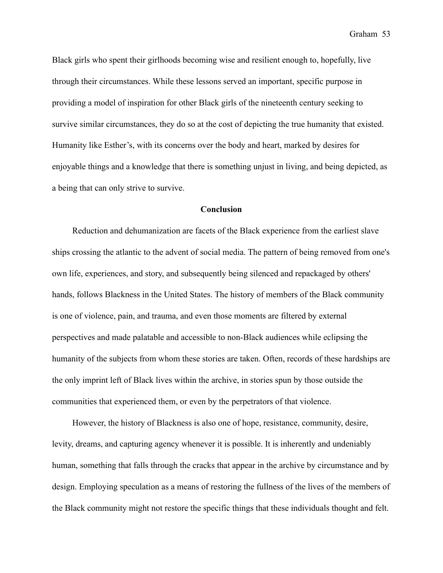Black girls who spent their girlhoods becoming wise and resilient enough to, hopefully, live through their circumstances. While these lessons served an important, specific purpose in providing a model of inspiration for other Black girls of the nineteenth century seeking to survive similar circumstances, they do so at the cost of depicting the true humanity that existed. Humanity like Esther's, with its concerns over the body and heart, marked by desires for enjoyable things and a knowledge that there is something unjust in living, and being depicted, as a being that can only strive to survive.

#### **Conclusion**

 Reduction and dehumanization are facets of the Black experience from the earliest slave ships crossing the atlantic to the advent of social media. The pattern of being removed from one's own life, experiences, and story, and subsequently being silenced and repackaged by others' hands, follows Blackness in the United States. The history of members of the Black community is one of violence, pain, and trauma, and even those moments are filtered by external perspectives and made palatable and accessible to non-Black audiences while eclipsing the humanity of the subjects from whom these stories are taken. Often, records of these hardships are the only imprint left of Black lives within the archive, in stories spun by those outside the communities that experienced them, or even by the perpetrators of that violence.

 However, the history of Blackness is also one of hope, resistance, community, desire, levity, dreams, and capturing agency whenever it is possible. It is inherently and undeniably human, something that falls through the cracks that appear in the archive by circumstance and by design. Employing speculation as a means of restoring the fullness of the lives of the members of the Black community might not restore the specific things that these individuals thought and felt.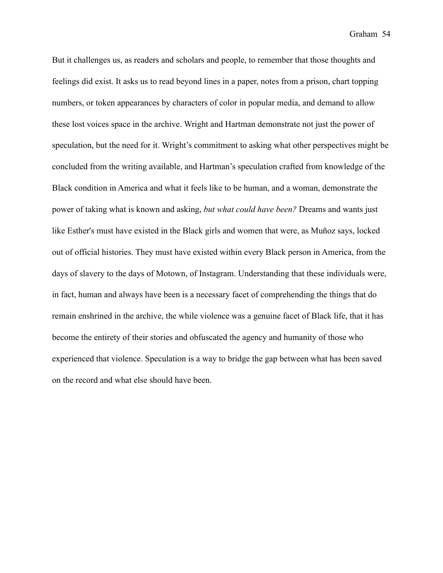But it challenges us, as readers and scholars and people, to remember that those thoughts and feelings did exist. It asks us to read beyond lines in a paper, notes from a prison, chart topping numbers, or token appearances by characters of color in popular media, and demand to allow these lost voices space in the archive. Wright and Hartman demonstrate not just the power of speculation, but the need for it. Wright's commitment to asking what other perspectives might be concluded from the writing available, and Hartman's speculation crafted from knowledge of the Black condition in America and what it feels like to be human, and a woman, demonstrate the power of taking what is known and asking, *but what could have been?* Dreams and wants just like Esther's must have existed in the Black girls and women that were, as Muñoz says, locked out of official histories. They must have existed within every Black person in America, from the days of slavery to the days of Motown, of Instagram. Understanding that these individuals were, in fact, human and always have been is a necessary facet of comprehending the things that do remain enshrined in the archive, the while violence was a genuine facet of Black life, that it has become the entirety of their stories and obfuscated the agency and humanity of those who experienced that violence. Speculation is a way to bridge the gap between what has been saved on the record and what else should have been.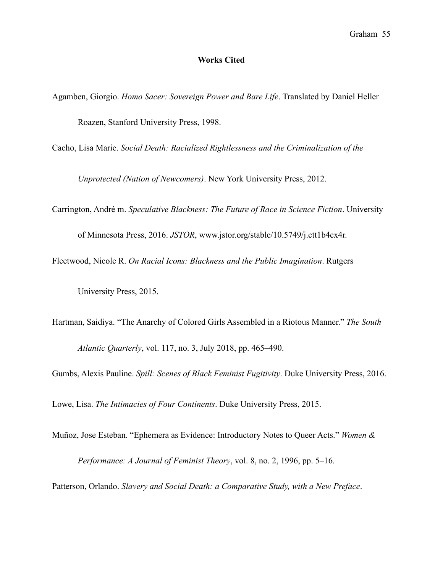#### **Works Cited**

- Agamben, Giorgio. *Homo Sacer: Sovereign Power and Bare Life*. Translated by Daniel Heller Roazen, Stanford University Press, 1998.
- Cacho, Lisa Marie. *Social Death: Racialized Rightlessness and the Criminalization of the*

 *Unprotected (Nation of Newcomers)*. New York University Press, 2012.

Carrington, André m. *Speculative Blackness: The Future of Race in Science Fiction*. University

of Minnesota Press, 2016. *JSTOR*, [www.jstor.org/stable/10.5749/j.ctt1b4cx4r.](http://www.jstor.org/stable/10.5749/j.ctt1b4cx4r)

Fleetwood, Nicole R. *On Racial Icons: Blackness and the Public Imagination*. Rutgers

University Press, 2015.

Hartman, Saidiya. "The Anarchy of Colored Girls Assembled in a Riotous Manner." *The South Atlantic Quarterly*, vol. 117, no. 3, July 2018, pp. 465–490.

Gumbs, Alexis Pauline. *Spill: Scenes of Black Feminist Fugitivity*. Duke University Press, 2016.

Lowe, Lisa. *The Intimacies of Four Continents*. Duke University Press, 2015.

Muñoz, Jose Esteban. "Ephemera as Evidence: Introductory Notes to Queer Acts." *Women & Performance: A Journal of Feminist Theory*, vol. 8, no. 2, 1996, pp. 5–16.

Patterson, Orlando. *Slavery and Social Death: a Comparative Study, with a New Preface*.